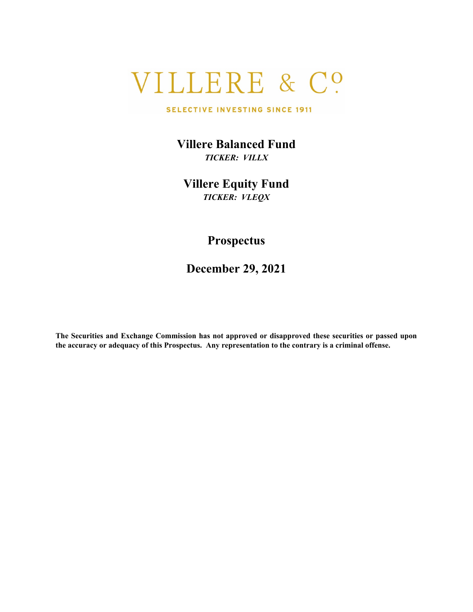# VILLERE & C?

#### SELECTIVE INVESTING SINCE 1911

**Villere Balanced Fund** *TICKER: VILLX*

**Villere Equity Fund** *TICKER: VLEQX*

## **Prospectus**

**December 29, 2021**

**The Securities and Exchange Commission has not approved or disapproved these securities or passed upon the accuracy or adequacy of this Prospectus. Any representation to the contrary is a criminal offense.**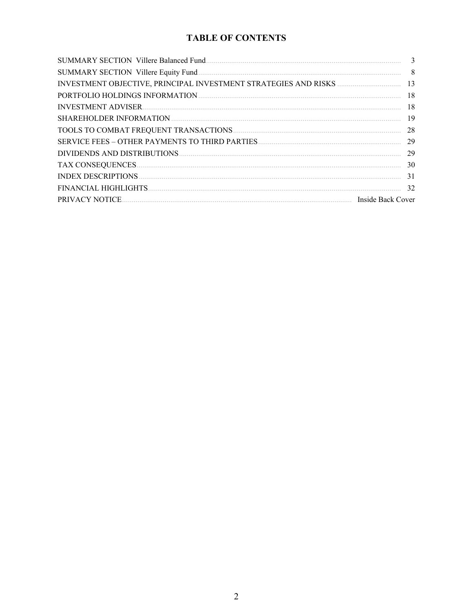## **TABLE OF CONTENTS**

| <b>SUMMARY SECTION Villere Balanced Fund.</b> | 3                 |
|-----------------------------------------------|-------------------|
| SUMMARY SECTION Villere Equity Fund           | 8                 |
|                                               | 13                |
|                                               | 18                |
|                                               | 18                |
|                                               | 19                |
| TOOLS TO COMBAT FREQUENT TRANSACTIONS.        | 28                |
|                                               | 29                |
|                                               | 29                |
|                                               | 30                |
|                                               | 31                |
| FINANCIAL HIGHLIGHTS                          | 32                |
| PRIVACY NOTICE                                | Inside Back Cover |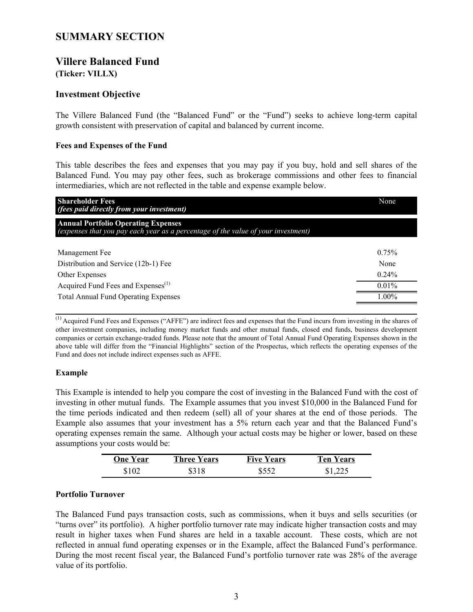## <span id="page-2-0"></span>**SUMMARY SECTION**

## **Villere Balanced Fund**

**(Ticker: VILLX)**

## **Investment Objective**

The Villere Balanced Fund (the "Balanced Fund" or the "Fund") seeks to achieve long-term capital growth consistent with preservation of capital and balanced by current income.

## **Fees and Expenses of the Fund**

This table describes the fees and expenses that you may pay if you buy, hold and sell shares of the Balanced Fund. You may pay other fees, such as brokerage commissions and other fees to financial intermediaries, which are not reflected in the table and expense example below.

| <b>Shareholder Fees</b><br>(fees paid directly from your investment)                                                            | None     |
|---------------------------------------------------------------------------------------------------------------------------------|----------|
| <b>Annual Portfolio Operating Expenses</b><br>(expenses that you pay each year as a percentage of the value of your investment) |          |
| Management Fee                                                                                                                  | 0.75%    |
| Distribution and Service (12b-1) Fee                                                                                            | None     |
| Other Expenses                                                                                                                  | $0.24\%$ |
| Acquired Fund Fees and Expenses <sup>(1)</sup>                                                                                  | 0.01%    |
| <b>Total Annual Fund Operating Expenses</b>                                                                                     | $1.00\%$ |

(1) Acquired Fund Fees and Expenses ("AFFE") are indirect fees and expenses that the Fund incurs from investing in the shares of other investment companies, including money market funds and other mutual funds, closed end funds, business development companies or certain exchange-traded funds. Please note that the amount of Total Annual Fund Operating Expenses shown in the above table will differ from the "Financial Highlights" section of the Prospectus, which reflects the operating expenses of the Fund and does not include indirect expenses such as AFFE.

## **Example**

This Example is intended to help you compare the cost of investing in the Balanced Fund with the cost of investing in other mutual funds. The Example assumes that you invest \$10,000 in the Balanced Fund for the time periods indicated and then redeem (sell) all of your shares at the end of those periods. The Example also assumes that your investment has a 5% return each year and that the Balanced Fund's operating expenses remain the same. Although your actual costs may be higher or lower, based on these assumptions your costs would be:

| One Year | <b>Three Years</b> | <b>Five Years</b> | Ten Years |
|----------|--------------------|-------------------|-----------|
| \$102    | \$318              | \$552             | \$1,225   |

## **Portfolio Turnover**

The Balanced Fund pays transaction costs, such as commissions, when it buys and sells securities (or "turns over" its portfolio). A higher portfolio turnover rate may indicate higher transaction costs and may result in higher taxes when Fund shares are held in a taxable account. These costs, which are not reflected in annual fund operating expenses or in the Example, affect the Balanced Fund's performance. During the most recent fiscal year, the Balanced Fund's portfolio turnover rate was 28% of the average value of its portfolio.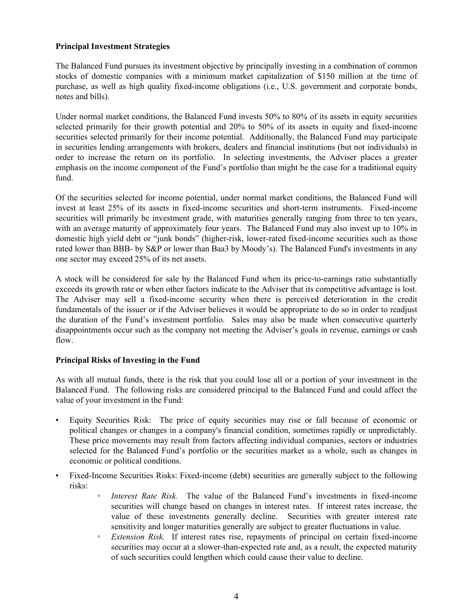## **Principal Investment Strategies**

The Balanced Fund pursues its investment objective by principally investing in a combination of common stocks of domestic companies with a minimum market capitalization of \$150 million at the time of purchase, as well as high quality fixed-income obligations (i.e., U.S. government and corporate bonds, notes and bills).

Under normal market conditions, the Balanced Fund invests 50% to 80% of its assets in equity securities selected primarily for their growth potential and 20% to 50% of its assets in equity and fixed-income securities selected primarily for their income potential. Additionally, the Balanced Fund may participate in securities lending arrangements with brokers, dealers and financial institutions (but not individuals) in order to increase the return on its portfolio. In selecting investments, the Adviser places a greater emphasis on the income component of the Fund's portfolio than might be the case for a traditional equity fund.

Of the securities selected for income potential, under normal market conditions, the Balanced Fund will invest at least 25% of its assets in fixed-income securities and short-term instruments. Fixed-income securities will primarily be investment grade, with maturities generally ranging from three to ten years, with an average maturity of approximately four years. The Balanced Fund may also invest up to 10% in domestic high yield debt or "junk bonds" (higher-risk, lower-rated fixed-income securities such as those rated lower than BBB- by S&P or lower than Baa3 by Moody's). The Balanced Fund's investments in any one sector may exceed 25% of its net assets.

A stock will be considered for sale by the Balanced Fund when its price-to-earnings ratio substantially exceeds its growth rate or when other factors indicate to the Adviser that its competitive advantage is lost. The Adviser may sell a fixed-income security when there is perceived deterioration in the credit fundamentals of the issuer or if the Adviser believes it would be appropriate to do so in order to readjust the duration of the Fund's investment portfolio. Sales may also be made when consecutive quarterly disappointments occur such as the company not meeting the Adviser's goals in revenue, earnings or cash flow.

## **Principal Risks of Investing in the Fund**

As with all mutual funds, there is the risk that you could lose all or a portion of your investment in the Balanced Fund. The following risks are considered principal to the Balanced Fund and could affect the value of your investment in the Fund:

- Equity Securities Risk: The price of equity securities may rise or fall because of economic or political changes or changes in a company's financial condition, sometimes rapidly or unpredictably. These price movements may result from factors affecting individual companies, sectors or industries selected for the Balanced Fund's portfolio or the securities market as a whole, such as changes in economic or political conditions.
- Fixed-Income Securities Risks: Fixed-income (debt) securities are generally subject to the following risks:
	- *Interest Rate Risk.* The value of the Balanced Fund's investments in fixed-income securities will change based on changes in interest rates. If interest rates increase, the value of these investments generally decline. Securities with greater interest rate sensitivity and longer maturities generally are subject to greater fluctuations in value.
	- *Extension Risk.* If interest rates rise, repayments of principal on certain fixed-income securities may occur at a slower-than-expected rate and, as a result, the expected maturity of such securities could lengthen which could cause their value to decline.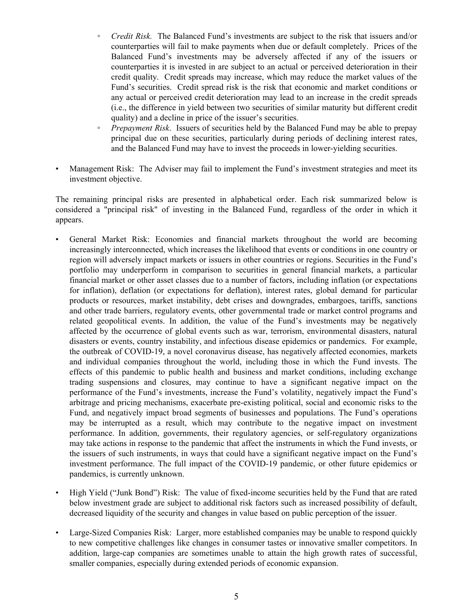- *Credit Risk.* The Balanced Fund's investments are subject to the risk that issuers and/or counterparties will fail to make payments when due or default completely. Prices of the Balanced Fund's investments may be adversely affected if any of the issuers or counterparties it is invested in are subject to an actual or perceived deterioration in their credit quality. Credit spreads may increase, which may reduce the market values of the Fund's securities. Credit spread risk is the risk that economic and market conditions or any actual or perceived credit deterioration may lead to an increase in the credit spreads (i.e., the difference in yield between two securities of similar maturity but different credit quality) and a decline in price of the issuer's securities.
- *Prepayment Risk*. Issuers of securities held by the Balanced Fund may be able to prepay principal due on these securities, particularly during periods of declining interest rates, and the Balanced Fund may have to invest the proceeds in lower-yielding securities.
- Management Risk: The Adviser may fail to implement the Fund's investment strategies and meet its investment objective.

The remaining principal risks are presented in alphabetical order. Each risk summarized below is considered a "principal risk" of investing in the Balanced Fund, regardless of the order in which it appears.

- General Market Risk: Economies and financial markets throughout the world are becoming increasingly interconnected, which increases the likelihood that events or conditions in one country or region will adversely impact markets or issuers in other countries or regions. Securities in the Fund's portfolio may underperform in comparison to securities in general financial markets, a particular financial market or other asset classes due to a number of factors, including inflation (or expectations for inflation), deflation (or expectations for deflation), interest rates, global demand for particular products or resources, market instability, debt crises and downgrades, embargoes, tariffs, sanctions and other trade barriers, regulatory events, other governmental trade or market control programs and related geopolitical events. In addition, the value of the Fund's investments may be negatively affected by the occurrence of global events such as war, terrorism, environmental disasters, natural disasters or events, country instability, and infectious disease epidemics or pandemics. For example, the outbreak of COVID-19, a novel coronavirus disease, has negatively affected economies, markets and individual companies throughout the world, including those in which the Fund invests. The effects of this pandemic to public health and business and market conditions, including exchange trading suspensions and closures, may continue to have a significant negative impact on the performance of the Fund's investments, increase the Fund's volatility, negatively impact the Fund's arbitrage and pricing mechanisms, exacerbate pre-existing political, social and economic risks to the Fund, and negatively impact broad segments of businesses and populations. The Fund's operations may be interrupted as a result, which may contribute to the negative impact on investment performance. In addition, governments, their regulatory agencies, or self-regulatory organizations may take actions in response to the pandemic that affect the instruments in which the Fund invests, or the issuers of such instruments, in ways that could have a significant negative impact on the Fund's investment performance. The full impact of the COVID-19 pandemic, or other future epidemics or pandemics, is currently unknown.
- High Yield ("Junk Bond") Risk: The value of fixed-income securities held by the Fund that are rated below investment grade are subject to additional risk factors such as increased possibility of default, decreased liquidity of the security and changes in value based on public perception of the issuer.
- Large-Sized Companies Risk: Larger, more established companies may be unable to respond quickly to new competitive challenges like changes in consumer tastes or innovative smaller competitors. In addition, large-cap companies are sometimes unable to attain the high growth rates of successful, smaller companies, especially during extended periods of economic expansion.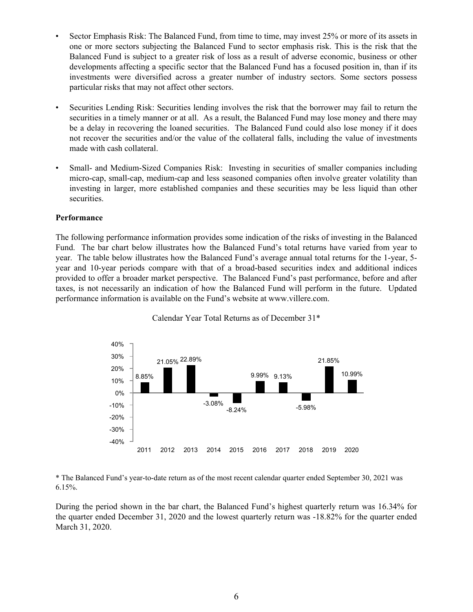- Sector Emphasis Risk: The Balanced Fund, from time to time, may invest 25% or more of its assets in one or more sectors subjecting the Balanced Fund to sector emphasis risk. This is the risk that the Balanced Fund is subject to a greater risk of loss as a result of adverse economic, business or other developments affecting a specific sector that the Balanced Fund has a focused position in, than if its investments were diversified across a greater number of industry sectors. Some sectors possess particular risks that may not affect other sectors.
- Securities Lending Risk: Securities lending involves the risk that the borrower may fail to return the securities in a timely manner or at all. As a result, the Balanced Fund may lose money and there may be a delay in recovering the loaned securities. The Balanced Fund could also lose money if it does not recover the securities and/or the value of the collateral falls, including the value of investments made with cash collateral.
- Small- and Medium-Sized Companies Risk: Investing in securities of smaller companies including micro-cap, small-cap, medium-cap and less seasoned companies often involve greater volatility than investing in larger, more established companies and these securities may be less liquid than other securities.

#### **Performance**

The following performance information provides some indication of the risks of investing in the Balanced Fund. The bar chart below illustrates how the Balanced Fund's total returns have varied from year to year. The table below illustrates how the Balanced Fund's average annual total returns for the 1-year, 5 year and 10-year periods compare with that of a broad-based securities index and additional indices provided to offer a broader market perspective. The Balanced Fund's past performance, before and after taxes, is not necessarily an indication of how the Balanced Fund will perform in the future. Updated performance information is available on the Fund's website at www.villere.com.



Calendar Year Total Returns as of December 31\*

\* The Balanced Fund's year-to-date return as of the most recent calendar quarter ended September 30, 2021 was  $6.15%$ .

During the period shown in the bar chart, the Balanced Fund's highest quarterly return was 16.34% for the quarter ended December 31, 2020 and the lowest quarterly return was -18.82% for the quarter ended March 31, 2020.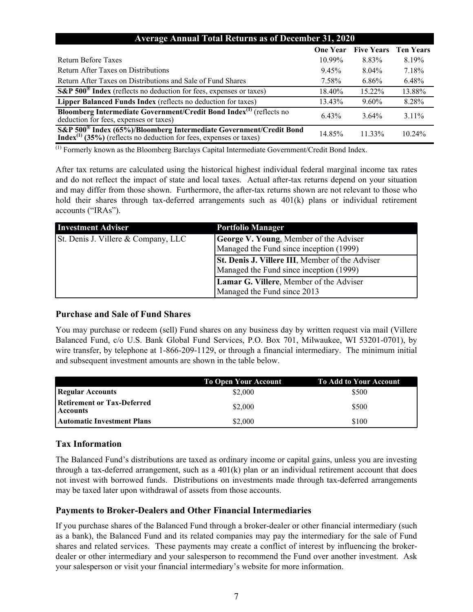| <b>Average Annual Total Returns as of December 31, 2020</b>                                                                                               |                 |                   |                  |
|-----------------------------------------------------------------------------------------------------------------------------------------------------------|-----------------|-------------------|------------------|
|                                                                                                                                                           | <b>One Year</b> | <b>Five Years</b> | <b>Ten Years</b> |
| Return Before Taxes                                                                                                                                       | $10.99\%$       | 8.83%             | 8.19%            |
| Return After Taxes on Distributions                                                                                                                       | 9.45%           | $8.04\%$          | 7.18%            |
| Return After Taxes on Distributions and Sale of Fund Shares                                                                                               | 7.58%           | $6.86\%$          | 6.48%            |
| S&P 500 <sup>®</sup> Index (reflects no deduction for fees, expenses or taxes)                                                                            | 18.40%          | 15.22%            | 13.88%           |
| Lipper Balanced Funds Index (reflects no deduction for taxes)                                                                                             | 13.43%          | $9.60\%$          | 8.28%            |
| Bloomberg Intermediate Government/Credit Bond Index <sup>(1)</sup> (reflects no<br>deduction for fees, expenses or taxes)                                 | 6.43%           | $3.64\%$          | $3.11\%$         |
| S&P 500 <sup>®</sup> Index (65%)/Bloomberg Intermediate Government/Credit Bond<br>$Index^{(1)}$ (35%) (reflects no deduction for fees, expenses or taxes) | 14.85%          | $11.33\%$         | 10.24%           |

(1) Formerly known as the Bloomberg Barclays Capital Intermediate Government/Credit Bond Index.

After tax returns are calculated using the historical highest individual federal marginal income tax rates and do not reflect the impact of state and local taxes. Actual after-tax returns depend on your situation and may differ from those shown. Furthermore, the after-tax returns shown are not relevant to those who hold their shares through tax-deferred arrangements such as  $401(k)$  plans or individual retirement accounts ("IRAs").

| <b>Investment Adviser</b>           | <b>Portfolio Manager</b>                                                                          |
|-------------------------------------|---------------------------------------------------------------------------------------------------|
| St. Denis J. Villere & Company, LLC | <b>George V. Young, Member of the Adviser</b><br>Managed the Fund since inception (1999)          |
|                                     | <b>St. Denis J. Villere III.</b> Member of the Adviser<br>Managed the Fund since inception (1999) |
|                                     | Lamar G. Villere, Member of the Adviser<br>Managed the Fund since 2013                            |

## **Purchase and Sale of Fund Shares**

You may purchase or redeem (sell) Fund shares on any business day by written request via mail (Villere Balanced Fund, c/o U.S. Bank Global Fund Services, P.O. Box 701, Milwaukee, WI 53201-0701), by wire transfer, by telephone at 1-866-209-1129, or through a financial intermediary. The minimum initial and subsequent investment amounts are shown in the table below.

|                                                      | <b>To Open Your Account</b> | <b>To Add to Your Account</b> |
|------------------------------------------------------|-----------------------------|-------------------------------|
| Regular Accounts                                     | \$2,000                     | \$500                         |
| <b>Retirement or Tax-Deferred</b><br><b>Accounts</b> | \$2,000                     | \$500                         |
| <b>Automatic Investment Plans</b>                    | \$2,000                     | \$100                         |

## **Tax Information**

The Balanced Fund's distributions are taxed as ordinary income or capital gains, unless you are investing through a tax-deferred arrangement, such as a  $401(k)$  plan or an individual retirement account that does not invest with borrowed funds. Distributions on investments made through tax-deferred arrangements may be taxed later upon withdrawal of assets from those accounts.

## **Payments to Broker-Dealers and Other Financial Intermediaries**

If you purchase shares of the Balanced Fund through a broker-dealer or other financial intermediary (such as a bank), the Balanced Fund and its related companies may pay the intermediary for the sale of Fund shares and related services. These payments may create a conflict of interest by influencing the brokerdealer or other intermediary and your salesperson to recommend the Fund over another investment. Ask your salesperson or visit your financial intermediary's website for more information.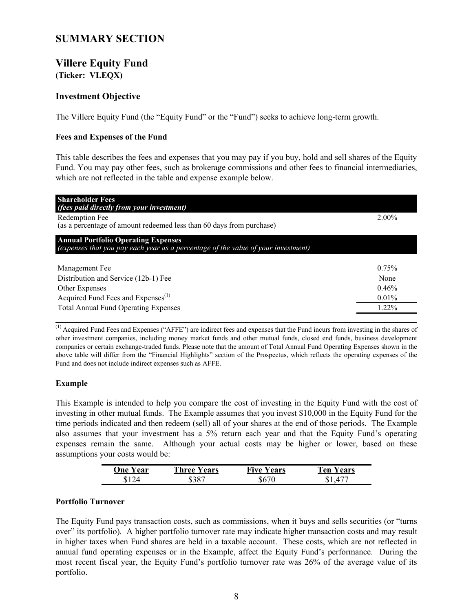## <span id="page-7-0"></span>**SUMMARY SECTION**

## **Villere Equity Fund**

**(Ticker: VLEQX)**

## **Investment Objective**

The Villere Equity Fund (the "Equity Fund" or the "Fund") seeks to achieve long-term growth.

## **Fees and Expenses of the Fund**

This table describes the fees and expenses that you may pay if you buy, hold and sell shares of the Equity Fund. You may pay other fees, such as brokerage commissions and other fees to financial intermediaries, which are not reflected in the table and expense example below.

| <b>Shareholder Fees</b><br>(fees paid directly from your investment)                                                            |          |
|---------------------------------------------------------------------------------------------------------------------------------|----------|
| Redemption Fee<br>(as a percentage of amount redeemed less than 60 days from purchase)                                          | $2.00\%$ |
| <b>Annual Portfolio Operating Expenses</b><br>(expenses that you pay each year as a percentage of the value of your investment) |          |
| Management Fee                                                                                                                  | 0.75%    |
| Distribution and Service (12b-1) Fee                                                                                            | None     |
| Other Expenses                                                                                                                  | 0.46%    |
| Acquired Fund Fees and Expenses <sup>(1)</sup>                                                                                  | $0.01\%$ |
| <b>Total Annual Fund Operating Expenses</b>                                                                                     | $1.22\%$ |

(1) Acquired Fund Fees and Expenses ("AFFE") are indirect fees and expenses that the Fund incurs from investing in the shares of other investment companies, including money market funds and other mutual funds, closed end funds, business development companies or certain exchange-traded funds. Please note that the amount of Total Annual Fund Operating Expenses shown in the above table will differ from the "Financial Highlights" section of the Prospectus, which reflects the operating expenses of the Fund and does not include indirect expenses such as AFFE.

## **Example**

This Example is intended to help you compare the cost of investing in the Equity Fund with the cost of investing in other mutual funds. The Example assumes that you invest \$10,000 in the Equity Fund for the time periods indicated and then redeem (sell) all of your shares at the end of those periods. The Example also assumes that your investment has a 5% return each year and that the Equity Fund's operating expenses remain the same. Although your actual costs may be higher or lower, based on these assumptions your costs would be:

| One | Three        | Tive | Ten  |
|-----|--------------|------|------|
| ear | <b>Years</b> | ears | ears |
|     |              |      | . .  |

## **Portfolio Turnover**

The Equity Fund pays transaction costs, such as commissions, when it buys and sells securities (or "turns over" its portfolio). A higher portfolio turnover rate may indicate higher transaction costs and may result in higher taxes when Fund shares are held in a taxable account. These costs, which are not reflected in annual fund operating expenses or in the Example, affect the Equity Fund's performance. During the most recent fiscal year, the Equity Fund's portfolio turnover rate was 26% of the average value of its portfolio.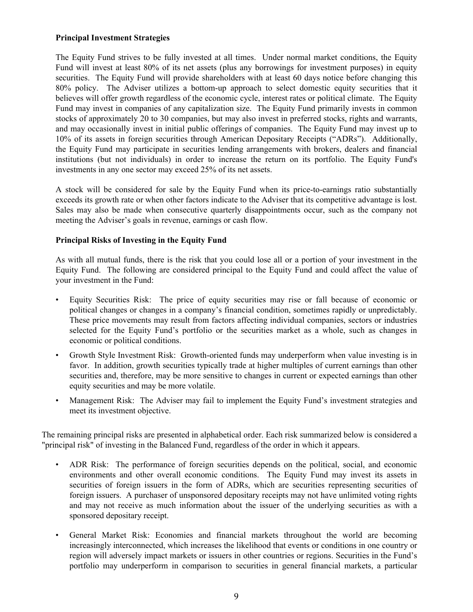## **Principal Investment Strategies**

The Equity Fund strives to be fully invested at all times. Under normal market conditions, the Equity Fund will invest at least 80% of its net assets (plus any borrowings for investment purposes) in equity securities. The Equity Fund will provide shareholders with at least 60 days notice before changing this 80% policy. The Adviser utilizes a bottom-up approach to select domestic equity securities that it believes will offer growth regardless of the economic cycle, interest rates or political climate. The Equity Fund may invest in companies of any capitalization size. The Equity Fund primarily invests in common stocks of approximately 20 to 30 companies, but may also invest in preferred stocks, rights and warrants, and may occasionally invest in initial public offerings of companies. The Equity Fund may invest up to 10% of its assets in foreign securities through American Depositary Receipts ("ADRs"). Additionally, the Equity Fund may participate in securities lending arrangements with brokers, dealers and financial institutions (but not individuals) in order to increase the return on its portfolio. The Equity Fund's investments in any one sector may exceed 25% of its net assets.

A stock will be considered for sale by the Equity Fund when its price-to-earnings ratio substantially exceeds its growth rate or when other factors indicate to the Adviser that its competitive advantage is lost. Sales may also be made when consecutive quarterly disappointments occur, such as the company not meeting the Adviser's goals in revenue, earnings or cash flow.

## **Principal Risks of Investing in the Equity Fund**

As with all mutual funds, there is the risk that you could lose all or a portion of your investment in the Equity Fund. The following are considered principal to the Equity Fund and could affect the value of your investment in the Fund:

- Equity Securities Risk: The price of equity securities may rise or fall because of economic or political changes or changes in a company's financial condition, sometimes rapidly or unpredictably. These price movements may result from factors affecting individual companies, sectors or industries selected for the Equity Fund's portfolio or the securities market as a whole, such as changes in economic or political conditions.
- Growth Style Investment Risk: Growth-oriented funds may underperform when value investing is in favor. In addition, growth securities typically trade at higher multiples of current earnings than other securities and, therefore, may be more sensitive to changes in current or expected earnings than other equity securities and may be more volatile.
- Management Risk: The Adviser may fail to implement the Equity Fund's investment strategies and meet its investment objective.

The remaining principal risks are presented in alphabetical order. Each risk summarized below is considered a "principal risk" of investing in the Balanced Fund, regardless of the order in which it appears.

- ADR Risk: The performance of foreign securities depends on the political, social, and economic environments and other overall economic conditions. The Equity Fund may invest its assets in securities of foreign issuers in the form of ADRs, which are securities representing securities of foreign issuers. A purchaser of unsponsored depositary receipts may not have unlimited voting rights and may not receive as much information about the issuer of the underlying securities as with a sponsored depositary receipt.
- General Market Risk: Economies and financial markets throughout the world are becoming increasingly interconnected, which increases the likelihood that events or conditions in one country or region will adversely impact markets or issuers in other countries or regions. Securities in the Fund's portfolio may underperform in comparison to securities in general financial markets, a particular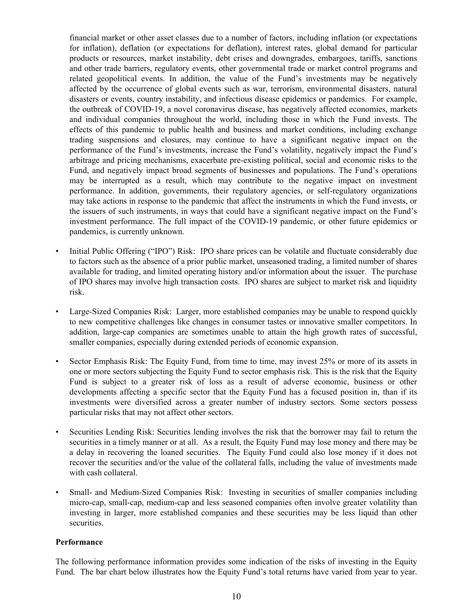financial market or other asset classes due to a number of factors, including inflation (or expectations for inflation), deflation (or expectations for deflation), interest rates, global demand for particular products or resources, market instability, debt crises and downgrades, embargoes, tariffs, sanctions and other trade barriers, regulatory events, other governmental trade or market control programs and related geopolitical events. In addition, the value of the Fund's investments may be negatively affected by the occurrence of global events such as war, terrorism, environmental disasters, natural disasters or events, country instability, and infectious disease epidemics or pandemics. For example, the outbreak of COVID-19, a novel coronavirus disease, has negatively affected economies, markets and individual companies throughout the world, including those in which the Fund invests. The effects of this pandemic to public health and business and market conditions, including exchange trading suspensions and closures, may continue to have a significant negative impact on the performance of the Fund's investments, increase the Fund's volatility, negatively impact the Fund's arbitrage and pricing mechanisms, exacerbate pre-existing political, social and economic risks to the Fund, and negatively impact broad segments of businesses and populations. The Fund's operations may be interrupted as a result, which may contribute to the negative impact on investment performance. In addition, governments, their regulatory agencies, or self-regulatory organizations may take actions in response to the pandemic that affect the instruments in which the Fund invests, or the issuers of such instruments, in ways that could have a significant negative impact on the Fund's investment performance. The full impact of the COVID-19 pandemic, or other future epidemics or pandemics, is currently unknown.

- Initial Public Offering ("IPO") Risk: IPO share prices can be volatile and fluctuate considerably due to factors such as the absence of a prior public market, unseasoned trading, a limited number of shares available for trading, and limited operating history and/or information about the issuer. The purchase of IPO shares may involve high transaction costs. IPO shares are subject to market risk and liquidity risk.
- Large-Sized Companies Risk: Larger, more established companies may be unable to respond quickly to new competitive challenges like changes in consumer tastes or innovative smaller competitors. In addition, large-cap companies are sometimes unable to attain the high growth rates of successful, smaller companies, especially during extended periods of economic expansion.
- Sector Emphasis Risk: The Equity Fund, from time to time, may invest 25% or more of its assets in one or more sectors subjecting the Equity Fund to sector emphasis risk. This is the risk that the Equity Fund is subject to a greater risk of loss as a result of adverse economic, business or other developments affecting a specific sector that the Equity Fund has a focused position in, than if its investments were diversified across a greater number of industry sectors. Some sectors possess particular risks that may not affect other sectors.
- Securities Lending Risk: Securities lending involves the risk that the borrower may fail to return the securities in a timely manner or at all. As a result, the Equity Fund may lose money and there may be a delay in recovering the loaned securities. The Equity Fund could also lose money if it does not recover the securities and/or the value of the collateral falls, including the value of investments made with cash collateral.
- Small- and Medium-Sized Companies Risk: Investing in securities of smaller companies including micro-cap, small-cap, medium-cap and less seasoned companies often involve greater volatility than investing in larger, more established companies and these securities may be less liquid than other securities.

## **Performance**

The following performance information provides some indication of the risks of investing in the Equity Fund. The bar chart below illustrates how the Equity Fund's total returns have varied from year to year.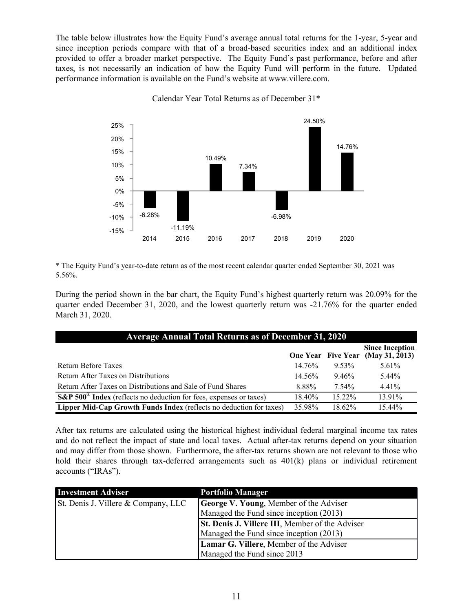The table below illustrates how the Equity Fund's average annual total returns for the 1-year, 5-year and since inception periods compare with that of a broad-based securities index and an additional index provided to offer a broader market perspective. The Equity Fund's past performance, before and after taxes, is not necessarily an indication of how the Equity Fund will perform in the future. Updated performance information is available on the Fund's website at www.villere.com.



Calendar Year Total Returns as of December 31\*

\* The Equity Fund's year-to-date return as of the most recent calendar quarter ended September 30, 2021 was 5.56%.

During the period shown in the bar chart, the Equity Fund's highest quarterly return was 20.09% for the quarter ended December 31, 2020, and the lowest quarterly return was -21.76% for the quarter ended March 31, 2020.

| <b>Average Annual Total Returns as of December 31, 2020</b>                                                     |           |           |                                                             |
|-----------------------------------------------------------------------------------------------------------------|-----------|-----------|-------------------------------------------------------------|
|                                                                                                                 |           |           | <b>Since Inception</b><br>One Year Five Year (May 31, 2013) |
| Return Before Taxes                                                                                             | $14.76\%$ | $9.53\%$  | $5.61\%$                                                    |
| Return After Taxes on Distributions                                                                             | $14.56\%$ | 9.46%     | 5.44%                                                       |
| Return After Taxes on Distributions and Sale of Fund Shares                                                     | 8.88%     | 7.54%     | 4.41%                                                       |
| $\overline{\text{S\&P 500}}^{\text{\textregistered}}$ Index (reflects no deduction for fees, expenses or taxes) | 18.40%    | $15.22\%$ | 13.91%                                                      |
| Lipper Mid-Cap Growth Funds Index (reflects no deduction for taxes)                                             | 35.98%    | $18.62\%$ | 15.44%                                                      |

After tax returns are calculated using the historical highest individual federal marginal income tax rates and do not reflect the impact of state and local taxes. Actual after-tax returns depend on your situation and may differ from those shown. Furthermore, the after-tax returns shown are not relevant to those who hold their shares through tax-deferred arrangements such as  $401(k)$  plans or individual retirement accounts ("IRAs").

| <b>Investment Adviser</b>           | <b>Portfolio Manager</b>                               |
|-------------------------------------|--------------------------------------------------------|
| St. Denis J. Villere & Company, LLC | <b>George V. Young, Member of the Adviser</b>          |
|                                     | Managed the Fund since inception (2013)                |
|                                     | <b>St. Denis J. Villere III, Member of the Adviser</b> |
|                                     | Managed the Fund since inception (2013)                |
|                                     | Lamar G. Villere, Member of the Adviser                |
|                                     | Managed the Fund since 2013                            |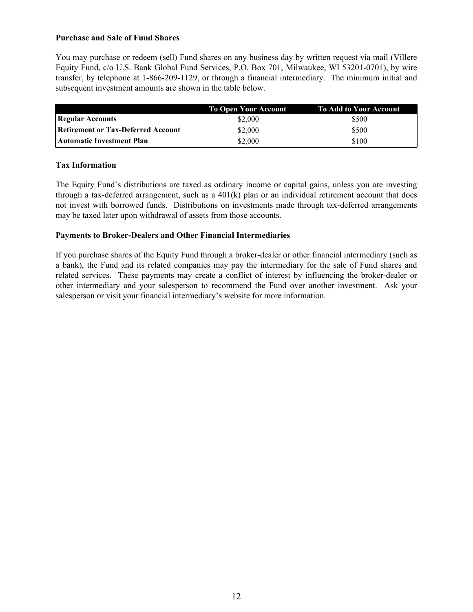## **Purchase and Sale of Fund Shares**

You may purchase or redeem (sell) Fund shares on any business day by written request via mail (Villere Equity Fund, c/o U.S. Bank Global Fund Services, P.O. Box 701, Milwaukee, WI 53201-0701), by wire transfer, by telephone at 1-866-209-1129, or through a financial intermediary. The minimum initial and subsequent investment amounts are shown in the table below.

|                                           | <b>To Open Your Account</b> | To Add to Your Account |
|-------------------------------------------|-----------------------------|------------------------|
| Regular Accounts                          | \$2,000                     | \$500                  |
| <b>Retirement or Tax-Deferred Account</b> | \$2,000                     | \$500                  |
| <b>Automatic Investment Plan</b>          | \$2,000                     | \$100                  |

## **Tax Information**

The Equity Fund's distributions are taxed as ordinary income or capital gains, unless you are investing through a tax-deferred arrangement, such as a 401(k) plan or an individual retirement account that does not invest with borrowed funds. Distributions on investments made through tax-deferred arrangements may be taxed later upon withdrawal of assets from those accounts.

## **Payments to Broker-Dealers and Other Financial Intermediaries**

If you purchase shares of the Equity Fund through a broker-dealer or other financial intermediary (such as a bank), the Fund and its related companies may pay the intermediary for the sale of Fund shares and related services. These payments may create a conflict of interest by influencing the broker-dealer or other intermediary and your salesperson to recommend the Fund over another investment. Ask your salesperson or visit your financial intermediary's website for more information.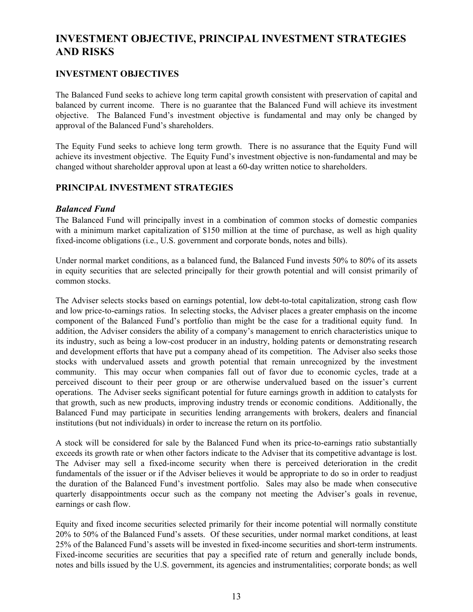## <span id="page-12-0"></span>**INVESTMENT OBJECTIVE, PRINCIPAL INVESTMENT STRATEGIES AND RISKS**

## **INVESTMENT OBJECTIVES**

The Balanced Fund seeks to achieve long term capital growth consistent with preservation of capital and balanced by current income. There is no guarantee that the Balanced Fund will achieve its investment objective. The Balanced Fund's investment objective is fundamental and may only be changed by approval of the Balanced Fund's shareholders.

The Equity Fund seeks to achieve long term growth. There is no assurance that the Equity Fund will achieve its investment objective. The Equity Fund's investment objective is non-fundamental and may be changed without shareholder approval upon at least a 60-day written notice to shareholders.

## **PRINCIPAL INVESTMENT STRATEGIES**

## *Balanced Fund*

The Balanced Fund will principally invest in a combination of common stocks of domestic companies with a minimum market capitalization of \$150 million at the time of purchase, as well as high quality fixed-income obligations (i.e., U.S. government and corporate bonds, notes and bills).

Under normal market conditions, as a balanced fund, the Balanced Fund invests 50% to 80% of its assets in equity securities that are selected principally for their growth potential and will consist primarily of common stocks.

The Adviser selects stocks based on earnings potential, low debt-to-total capitalization, strong cash flow and low price-to-earnings ratios. In selecting stocks, the Adviser places a greater emphasis on the income component of the Balanced Fund's portfolio than might be the case for a traditional equity fund. In addition, the Adviser considers the ability of a company's management to enrich characteristics unique to its industry, such as being a low-cost producer in an industry, holding patents or demonstrating research and development efforts that have put a company ahead of its competition. The Adviser also seeks those stocks with undervalued assets and growth potential that remain unrecognized by the investment community. This may occur when companies fall out of favor due to economic cycles, trade at a perceived discount to their peer group or are otherwise undervalued based on the issuer's current operations. The Adviser seeks significant potential for future earnings growth in addition to catalysts for that growth, such as new products, improving industry trends or economic conditions. Additionally, the Balanced Fund may participate in securities lending arrangements with brokers, dealers and financial institutions (but not individuals) in order to increase the return on its portfolio.

A stock will be considered for sale by the Balanced Fund when its price-to-earnings ratio substantially exceeds its growth rate or when other factors indicate to the Adviser that its competitive advantage is lost. The Adviser may sell a fixed-income security when there is perceived deterioration in the credit fundamentals of the issuer or if the Adviser believes it would be appropriate to do so in order to readjust the duration of the Balanced Fund's investment portfolio. Sales may also be made when consecutive quarterly disappointments occur such as the company not meeting the Adviser's goals in revenue, earnings or cash flow.

Equity and fixed income securities selected primarily for their income potential will normally constitute 20% to 50% of the Balanced Fund's assets. Of these securities, under normal market conditions, at least 25% of the Balanced Fund's assets will be invested in fixed-income securities and short-term instruments. Fixed-income securities are securities that pay a specified rate of return and generally include bonds, notes and bills issued by the U.S. government, its agencies and instrumentalities; corporate bonds; as well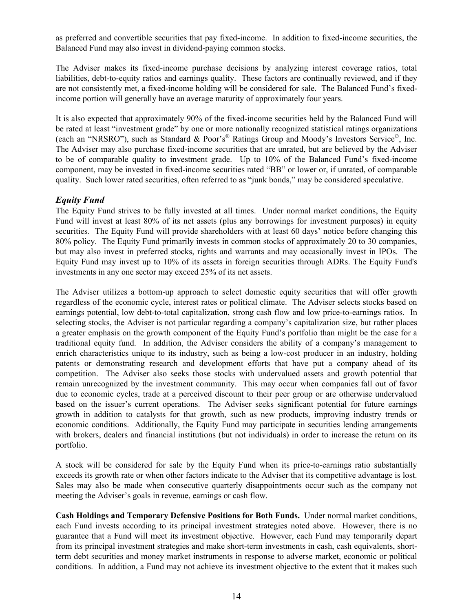as preferred and convertible securities that pay fixed-income. In addition to fixed-income securities, the Balanced Fund may also invest in dividend-paying common stocks.

The Adviser makes its fixed-income purchase decisions by analyzing interest coverage ratios, total liabilities, debt-to-equity ratios and earnings quality. These factors are continually reviewed, and if they are not consistently met, a fixed-income holding will be considered for sale. The Balanced Fund's fixedincome portion will generally have an average maturity of approximately four years.

It is also expected that approximately 90% of the fixed-income securities held by the Balanced Fund will be rated at least "investment grade" by one or more nationally recognized statistical ratings organizations (each an "NRSRO"), such as Standard & Poor's® Ratings Group and Moody's Investors Service<sup>©</sup>, Inc. The Adviser may also purchase fixed-income securities that are unrated, but are believed by the Adviser to be of comparable quality to investment grade. Up to 10% of the Balanced Fund's fixed-income component, may be invested in fixed-income securities rated "BB" or lower or, if unrated, of comparable quality. Such lower rated securities, often referred to as "junk bonds," may be considered speculative.

## *Equity Fund*

The Equity Fund strives to be fully invested at all times. Under normal market conditions, the Equity Fund will invest at least 80% of its net assets (plus any borrowings for investment purposes) in equity securities. The Equity Fund will provide shareholders with at least 60 days' notice before changing this 80% policy. The Equity Fund primarily invests in common stocks of approximately 20 to 30 companies, but may also invest in preferred stocks, rights and warrants and may occasionally invest in IPOs. The Equity Fund may invest up to 10% of its assets in foreign securities through ADRs. The Equity Fund's investments in any one sector may exceed 25% of its net assets.

The Adviser utilizes a bottom-up approach to select domestic equity securities that will offer growth regardless of the economic cycle, interest rates or political climate. The Adviser selects stocks based on earnings potential, low debt-to-total capitalization, strong cash flow and low price-to-earnings ratios. In selecting stocks, the Adviser is not particular regarding a company's capitalization size, but rather places a greater emphasis on the growth component of the Equity Fund's portfolio than might be the case for a traditional equity fund. In addition, the Adviser considers the ability of a company's management to enrich characteristics unique to its industry, such as being a low-cost producer in an industry, holding patents or demonstrating research and development efforts that have put a company ahead of its competition. The Adviser also seeks those stocks with undervalued assets and growth potential that remain unrecognized by the investment community. This may occur when companies fall out of favor due to economic cycles, trade at a perceived discount to their peer group or are otherwise undervalued based on the issuer's current operations. The Adviser seeks significant potential for future earnings growth in addition to catalysts for that growth, such as new products, improving industry trends or economic conditions. Additionally, the Equity Fund may participate in securities lending arrangements with brokers, dealers and financial institutions (but not individuals) in order to increase the return on its portfolio.

A stock will be considered for sale by the Equity Fund when its price-to-earnings ratio substantially exceeds its growth rate or when other factors indicate to the Adviser that its competitive advantage is lost. Sales may also be made when consecutive quarterly disappointments occur such as the company not meeting the Adviser's goals in revenue, earnings or cash flow.

**Cash Holdings and Temporary Defensive Positions for Both Funds.** Under normal market conditions, each Fund invests according to its principal investment strategies noted above. However, there is no guarantee that a Fund will meet its investment objective. However, each Fund may temporarily depart from its principal investment strategies and make short-term investments in cash, cash equivalents, shortterm debt securities and money market instruments in response to adverse market, economic or political conditions. In addition, a Fund may not achieve its investment objective to the extent that it makes such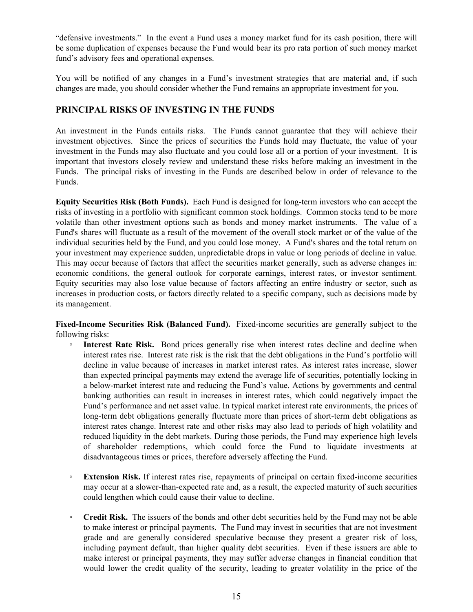"defensive investments." In the event a Fund uses a money market fund for its cash position, there will be some duplication of expenses because the Fund would bear its pro rata portion of such money market fund's advisory fees and operational expenses.

You will be notified of any changes in a Fund's investment strategies that are material and, if such changes are made, you should consider whether the Fund remains an appropriate investment for you.

## **PRINCIPAL RISKS OF INVESTING IN THE FUNDS**

An investment in the Funds entails risks. The Funds cannot guarantee that they will achieve their investment objectives. Since the prices of securities the Funds hold may fluctuate, the value of your investment in the Funds may also fluctuate and you could lose all or a portion of your investment. It is important that investors closely review and understand these risks before making an investment in the Funds. The principal risks of investing in the Funds are described below in order of relevance to the Funds.

**Equity Securities Risk (Both Funds).** Each Fund is designed for long-term investors who can accept the risks of investing in a portfolio with significant common stock holdings. Common stocks tend to be more volatile than other investment options such as bonds and money market instruments. The value of a Fund's shares will fluctuate as a result of the movement of the overall stock market or of the value of the individual securities held by the Fund, and you could lose money. A Fund's shares and the total return on your investment may experience sudden, unpredictable drops in value or long periods of decline in value. This may occur because of factors that affect the securities market generally, such as adverse changes in: economic conditions, the general outlook for corporate earnings, interest rates, or investor sentiment. Equity securities may also lose value because of factors affecting an entire industry or sector, such as increases in production costs, or factors directly related to a specific company, such as decisions made by its management.

**Fixed-Income Securities Risk (Balanced Fund).** Fixed-income securities are generally subject to the following risks:

- **Interest Rate Risk.** Bond prices generally rise when interest rates decline and decline when interest rates rise. Interest rate risk is the risk that the debt obligations in the Fund's portfolio will decline in value because of increases in market interest rates. As interest rates increase, slower than expected principal payments may extend the average life of securities, potentially locking in a below-market interest rate and reducing the Fund's value. Actions by governments and central banking authorities can result in increases in interest rates, which could negatively impact the Fund's performance and net asset value. In typical market interest rate environments, the prices of long-term debt obligations generally fluctuate more than prices of short-term debt obligations as interest rates change. Interest rate and other risks may also lead to periods of high volatility and reduced liquidity in the debt markets. During those periods, the Fund may experience high levels of shareholder redemptions, which could force the Fund to liquidate investments at disadvantageous times or prices, therefore adversely affecting the Fund.
- **Extension Risk.** If interest rates rise, repayments of principal on certain fixed-income securities may occur at a slower-than-expected rate and, as a result, the expected maturity of such securities could lengthen which could cause their value to decline.
- **Credit Risk.** The issuers of the bonds and other debt securities held by the Fund may not be able to make interest or principal payments. The Fund may invest in securities that are not investment grade and are generally considered speculative because they present a greater risk of loss, including payment default, than higher quality debt securities. Even if these issuers are able to make interest or principal payments, they may suffer adverse changes in financial condition that would lower the credit quality of the security, leading to greater volatility in the price of the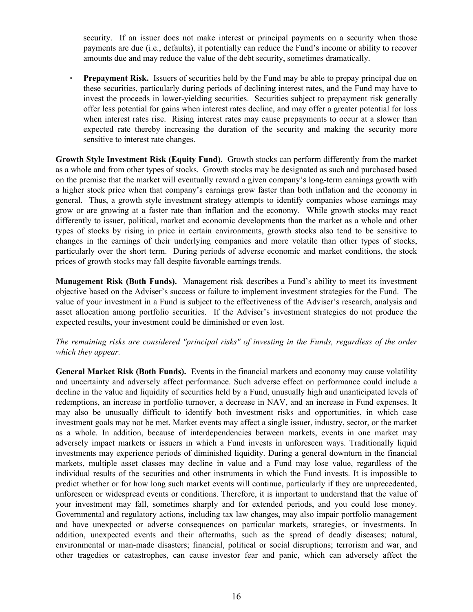security. If an issuer does not make interest or principal payments on a security when those payments are due (i.e., defaults), it potentially can reduce the Fund's income or ability to recover amounts due and may reduce the value of the debt security, sometimes dramatically.

◦ **Prepayment Risk.** Issuers of securities held by the Fund may be able to prepay principal due on these securities, particularly during periods of declining interest rates, and the Fund may have to invest the proceeds in lower-yielding securities. Securities subject to prepayment risk generally offer less potential for gains when interest rates decline, and may offer a greater potential for loss when interest rates rise. Rising interest rates may cause prepayments to occur at a slower than expected rate thereby increasing the duration of the security and making the security more sensitive to interest rate changes.

**Growth Style Investment Risk (Equity Fund).** Growth stocks can perform differently from the market as a whole and from other types of stocks. Growth stocks may be designated as such and purchased based on the premise that the market will eventually reward a given company's long-term earnings growth with a higher stock price when that company's earnings grow faster than both inflation and the economy in general. Thus, a growth style investment strategy attempts to identify companies whose earnings may grow or are growing at a faster rate than inflation and the economy. While growth stocks may react differently to issuer, political, market and economic developments than the market as a whole and other types of stocks by rising in price in certain environments, growth stocks also tend to be sensitive to changes in the earnings of their underlying companies and more volatile than other types of stocks, particularly over the short term. During periods of adverse economic and market conditions, the stock prices of growth stocks may fall despite favorable earnings trends.

**Management Risk (Both Funds).** Management risk describes a Fund's ability to meet its investment objective based on the Adviser's success or failure to implement investment strategies for the Fund. The value of your investment in a Fund is subject to the effectiveness of the Adviser's research, analysis and asset allocation among portfolio securities. If the Adviser's investment strategies do not produce the expected results, your investment could be diminished or even lost.

## *The remaining risks are considered "principal risks" of investing in the Funds, regardless of the order which they appear.*

**General Market Risk (Both Funds).** Events in the financial markets and economy may cause volatility and uncertainty and adversely affect performance. Such adverse effect on performance could include a decline in the value and liquidity of securities held by a Fund, unusually high and unanticipated levels of redemptions, an increase in portfolio turnover, a decrease in NAV, and an increase in Fund expenses. It may also be unusually difficult to identify both investment risks and opportunities, in which case investment goals may not be met. Market events may affect a single issuer, industry, sector, or the market as a whole. In addition, because of interdependencies between markets, events in one market may adversely impact markets or issuers in which a Fund invests in unforeseen ways. Traditionally liquid investments may experience periods of diminished liquidity. During a general downturn in the financial markets, multiple asset classes may decline in value and a Fund may lose value, regardless of the individual results of the securities and other instruments in which the Fund invests. It is impossible to predict whether or for how long such market events will continue, particularly if they are unprecedented, unforeseen or widespread events or conditions. Therefore, it is important to understand that the value of your investment may fall, sometimes sharply and for extended periods, and you could lose money. Governmental and regulatory actions, including tax law changes, may also impair portfolio management and have unexpected or adverse consequences on particular markets, strategies, or investments. In addition, unexpected events and their aftermaths, such as the spread of deadly diseases; natural, environmental or man-made disasters; financial, political or social disruptions; terrorism and war, and other tragedies or catastrophes, can cause investor fear and panic, which can adversely affect the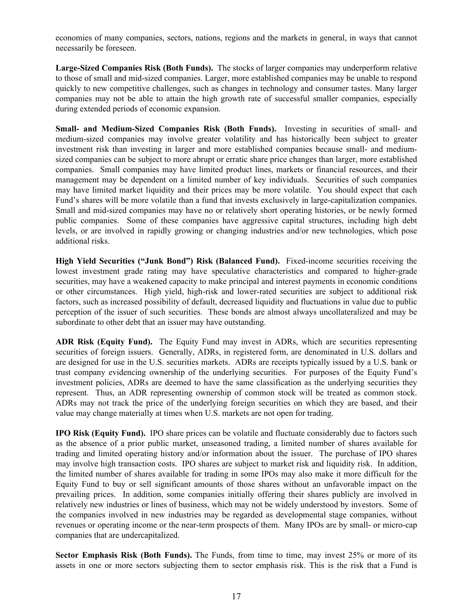economies of many companies, sectors, nations, regions and the markets in general, in ways that cannot necessarily be foreseen.

**Large-Sized Companies Risk (Both Funds).** The stocks of larger companies may underperform relative to those of small and mid-sized companies. Larger, more established companies may be unable to respond quickly to new competitive challenges, such as changes in technology and consumer tastes. Many larger companies may not be able to attain the high growth rate of successful smaller companies, especially during extended periods of economic expansion.

**Small- and Medium-Sized Companies Risk (Both Funds).** Investing in securities of small- and medium-sized companies may involve greater volatility and has historically been subject to greater investment risk than investing in larger and more established companies because small- and mediumsized companies can be subject to more abrupt or erratic share price changes than larger, more established companies. Small companies may have limited product lines, markets or financial resources, and their management may be dependent on a limited number of key individuals. Securities of such companies may have limited market liquidity and their prices may be more volatile. You should expect that each Fund's shares will be more volatile than a fund that invests exclusively in large-capitalization companies. Small and mid-sized companies may have no or relatively short operating histories, or be newly formed public companies. Some of these companies have aggressive capital structures, including high debt levels, or are involved in rapidly growing or changing industries and/or new technologies, which pose additional risks.

**High Yield Securities ("Junk Bond") Risk (Balanced Fund).** Fixed-income securities receiving the lowest investment grade rating may have speculative characteristics and compared to higher-grade securities, may have a weakened capacity to make principal and interest payments in economic conditions or other circumstances. High yield, high-risk and lower-rated securities are subject to additional risk factors, such as increased possibility of default, decreased liquidity and fluctuations in value due to public perception of the issuer of such securities. These bonds are almost always uncollateralized and may be subordinate to other debt that an issuer may have outstanding.

**ADR Risk (Equity Fund).** The Equity Fund may invest in ADRs, which are securities representing securities of foreign issuers. Generally, ADRs, in registered form, are denominated in U.S. dollars and are designed for use in the U.S. securities markets. ADRs are receipts typically issued by a U.S. bank or trust company evidencing ownership of the underlying securities. For purposes of the Equity Fund's investment policies, ADRs are deemed to have the same classification as the underlying securities they represent. Thus, an ADR representing ownership of common stock will be treated as common stock. ADRs may not track the price of the underlying foreign securities on which they are based, and their value may change materially at times when U.S. markets are not open for trading.

**IPO Risk (Equity Fund).** IPO share prices can be volatile and fluctuate considerably due to factors such as the absence of a prior public market, unseasoned trading, a limited number of shares available for trading and limited operating history and/or information about the issuer. The purchase of IPO shares may involve high transaction costs. IPO shares are subject to market risk and liquidity risk. In addition, the limited number of shares available for trading in some IPOs may also make it more difficult for the Equity Fund to buy or sell significant amounts of those shares without an unfavorable impact on the prevailing prices. In addition, some companies initially offering their shares publicly are involved in relatively new industries or lines of business, which may not be widely understood by investors. Some of the companies involved in new industries may be regarded as developmental stage companies, without revenues or operating income or the near-term prospects of them. Many IPOs are by small- or micro-cap companies that are undercapitalized.

**Sector Emphasis Risk (Both Funds).** The Funds, from time to time, may invest 25% or more of its assets in one or more sectors subjecting them to sector emphasis risk. This is the risk that a Fund is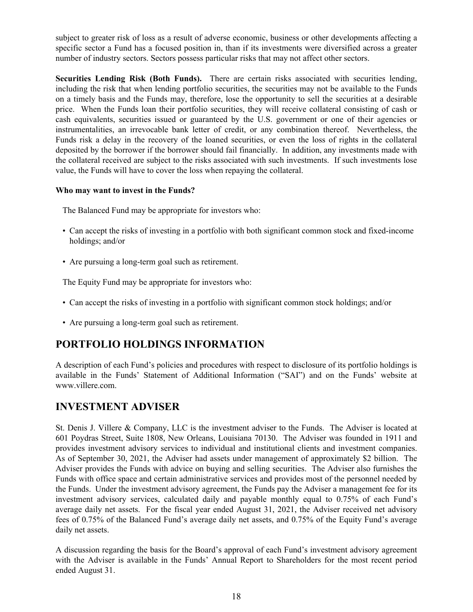<span id="page-17-0"></span>subject to greater risk of loss as a result of adverse economic, business or other developments affecting a specific sector a Fund has a focused position in, than if its investments were diversified across a greater number of industry sectors. Sectors possess particular risks that may not affect other sectors.

**Securities Lending Risk (Both Funds).** There are certain risks associated with securities lending, including the risk that when lending portfolio securities, the securities may not be available to the Funds on a timely basis and the Funds may, therefore, lose the opportunity to sell the securities at a desirable price. When the Funds loan their portfolio securities, they will receive collateral consisting of cash or cash equivalents, securities issued or guaranteed by the U.S. government or one of their agencies or instrumentalities, an irrevocable bank letter of credit, or any combination thereof. Nevertheless, the Funds risk a delay in the recovery of the loaned securities, or even the loss of rights in the collateral deposited by the borrower if the borrower should fail financially. In addition, any investments made with the collateral received are subject to the risks associated with such investments. If such investments lose value, the Funds will have to cover the loss when repaying the collateral.

## **Who may want to invest in the Funds?**

The Balanced Fund may be appropriate for investors who:

- Can accept the risks of investing in a portfolio with both significant common stock and fixed-income holdings; and/or
- Are pursuing a long-term goal such as retirement.

The Equity Fund may be appropriate for investors who:

- Can accept the risks of investing in a portfolio with significant common stock holdings; and/or
- Are pursuing a long-term goal such as retirement.

## **PORTFOLIO HOLDINGS INFORMATION**

A description of each Fund's policies and procedures with respect to disclosure of its portfolio holdings is available in the Funds' Statement of Additional Information ("SAI") and on the Funds' website at www.villere.com.

## **INVESTMENT ADVISER**

St. Denis J. Villere & Company, LLC is the investment adviser to the Funds. The Adviser is located at 601 Poydras Street, Suite 1808, New Orleans, Louisiana 70130. The Adviser was founded in 1911 and provides investment advisory services to individual and institutional clients and investment companies. As of September 30, 2021, the Adviser had assets under management of approximately \$2 billion. The Adviser provides the Funds with advice on buying and selling securities. The Adviser also furnishes the Funds with office space and certain administrative services and provides most of the personnel needed by the Funds. Under the investment advisory agreement, the Funds pay the Adviser a management fee for its investment advisory services, calculated daily and payable monthly equal to 0.75% of each Fund's average daily net assets. For the fiscal year ended August 31, 2021, the Adviser received net advisory fees of 0.75% of the Balanced Fund's average daily net assets, and 0.75% of the Equity Fund's average daily net assets.

A discussion regarding the basis for the Board's approval of each Fund's investment advisory agreement with the Adviser is available in the Funds' Annual Report to Shareholders for the most recent period ended August 31.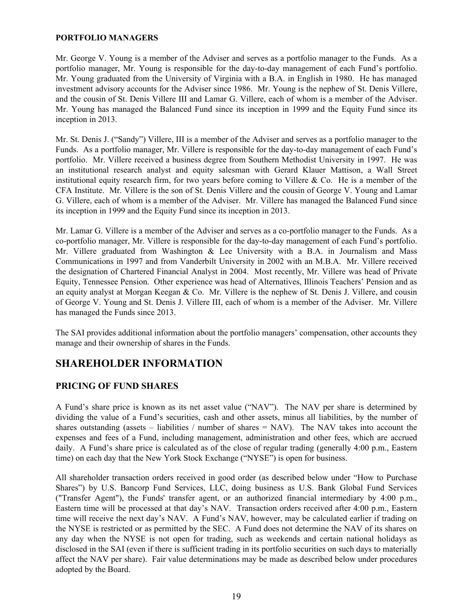#### <span id="page-18-0"></span>**PORTFOLIO MANAGERS**

Mr. George V. Young is a member of the Adviser and serves as a portfolio manager to the Funds. As a portfolio manager, Mr. Young is responsible for the day-to-day management of each Fund's portfolio. Mr. Young graduated from the University of Virginia with a B.A. in English in 1980. He has managed investment advisory accounts for the Adviser since 1986. Mr. Young is the nephew of St. Denis Villere, and the cousin of St. Denis Villere III and Lamar G. Villere, each of whom is a member of the Adviser. Mr. Young has managed the Balanced Fund since its inception in 1999 and the Equity Fund since its inception in 2013.

Mr. St. Denis J. ("Sandy") Villere, III is a member of the Adviser and serves as a portfolio manager to the Funds. As a portfolio manager, Mr. Villere is responsible for the day-to-day management of each Fund's portfolio. Mr. Villere received a business degree from Southern Methodist University in 1997. He was an institutional research analyst and equity salesman with Gerard Klauer Mattison, a Wall Street institutional equity research firm, for two years before coming to Villere  $\&$  Co. He is a member of the CFA Institute. Mr. Villere is the son of St. Denis Villere and the cousin of George V. Young and Lamar G. Villere, each of whom is a member of the Adviser. Mr. Villere has managed the Balanced Fund since its inception in 1999 and the Equity Fund since its inception in 2013.

Mr. Lamar G. Villere is a member of the Adviser and serves as a co-portfolio manager to the Funds. As a co-portfolio manager, Mr. Villere is responsible for the day-to-day management of each Fund's portfolio. Mr. Villere graduated from Washington & Lee University with a B.A. in Journalism and Mass Communications in 1997 and from Vanderbilt University in 2002 with an M.B.A. Mr. Villere received the designation of Chartered Financial Analyst in 2004. Most recently, Mr. Villere was head of Private Equity, Tennessee Pension. Other experience was head of Alternatives, Illinois Teachers' Pension and as an equity analyst at Morgan Keegan & Co. Mr. Villere is the nephew of St. Denis J. Villere, and cousin of George V. Young and St. Denis J. Villere III, each of whom is a member of the Adviser. Mr. Villere has managed the Funds since 2013.

The SAI provides additional information about the portfolio managers' compensation, other accounts they manage and their ownership of shares in the Funds.

## **SHAREHOLDER INFORMATION**

## **PRICING OF FUND SHARES**

A Fund's share price is known as its net asset value ("NAV"). The NAV per share is determined by dividing the value of a Fund's securities, cash and other assets, minus all liabilities, by the number of shares outstanding (assets – liabilities / number of shares = NAV). The NAV takes into account the expenses and fees of a Fund, including management, administration and other fees, which are accrued daily. A Fund's share price is calculated as of the close of regular trading (generally 4:00 p.m., Eastern time) on each day that the New York Stock Exchange ("NYSE") is open for business.

All shareholder transaction orders received in good order (as described below under "How to Purchase Shares") by U.S. Bancorp Fund Services, LLC, doing business as U.S. Bank Global Fund Services ("Transfer Agent"), the Funds' transfer agent, or an authorized financial intermediary by 4:00 p.m., Eastern time will be processed at that day's NAV. Transaction orders received after 4:00 p.m., Eastern time will receive the next day's NAV. A Fund's NAV, however, may be calculated earlier if trading on the NYSE is restricted or as permitted by the SEC. A Fund does not determine the NAV of its shares on any day when the NYSE is not open for trading, such as weekends and certain national holidays as disclosed in the SAI (even if there is sufficient trading in its portfolio securities on such days to materially affect the NAV per share). Fair value determinations may be made as described below under procedures adopted by the Board.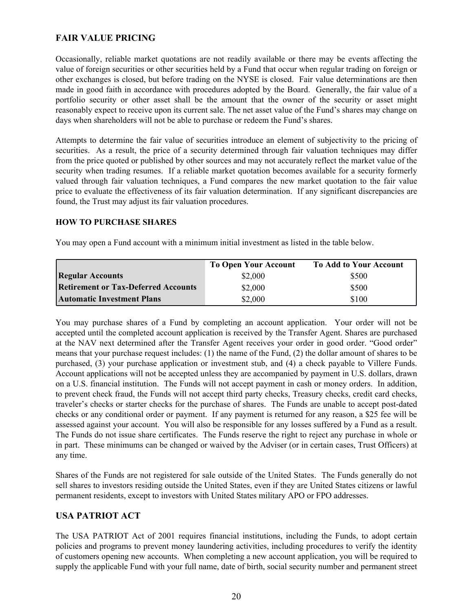## **FAIR VALUE PRICING**

Occasionally, reliable market quotations are not readily available or there may be events affecting the value of foreign securities or other securities held by a Fund that occur when regular trading on foreign or other exchanges is closed, but before trading on the NYSE is closed. Fair value determinations are then made in good faith in accordance with procedures adopted by the Board. Generally, the fair value of a portfolio security or other asset shall be the amount that the owner of the security or asset might reasonably expect to receive upon its current sale. The net asset value of the Fund's shares may change on days when shareholders will not be able to purchase or redeem the Fund's shares.

Attempts to determine the fair value of securities introduce an element of subjectivity to the pricing of securities. As a result, the price of a security determined through fair valuation techniques may differ from the price quoted or published by other sources and may not accurately reflect the market value of the security when trading resumes. If a reliable market quotation becomes available for a security formerly valued through fair valuation techniques, a Fund compares the new market quotation to the fair value price to evaluate the effectiveness of its fair valuation determination. If any significant discrepancies are found, the Trust may adjust its fair valuation procedures.

## **HOW TO PURCHASE SHARES**

You may open a Fund account with a minimum initial investment as listed in the table below.

|                                            | <b>To Open Your Account</b> | <b>To Add to Your Account</b> |
|--------------------------------------------|-----------------------------|-------------------------------|
| <b>Regular Accounts</b>                    | \$2,000                     | \$500                         |
| <b>Retirement or Tax-Deferred Accounts</b> | \$2,000                     | \$500                         |
| <b>Automatic Investment Plans</b>          | \$2,000                     | \$100                         |

You may purchase shares of a Fund by completing an account application. Your order will not be accepted until the completed account application is received by the Transfer Agent. Shares are purchased at the NAV next determined after the Transfer Agent receives your order in good order. "Good order" means that your purchase request includes: (1) the name of the Fund, (2) the dollar amount of shares to be purchased, (3) your purchase application or investment stub, and (4) a check payable to Villere Funds. Account applications will not be accepted unless they are accompanied by payment in U.S. dollars, drawn on a U.S. financial institution. The Funds will not accept payment in cash or money orders. In addition, to prevent check fraud, the Funds will not accept third party checks, Treasury checks, credit card checks, traveler's checks or starter checks for the purchase of shares. The Funds are unable to accept post-dated checks or any conditional order or payment. If any payment is returned for any reason, a \$25 fee will be assessed against your account. You will also be responsible for any losses suffered by a Fund as a result. The Funds do not issue share certificates. The Funds reserve the right to reject any purchase in whole or in part. These minimums can be changed or waived by the Adviser (or in certain cases, Trust Officers) at any time.

Shares of the Funds are not registered for sale outside of the United States. The Funds generally do not sell shares to investors residing outside the United States, even if they are United States citizens or lawful permanent residents, except to investors with United States military APO or FPO addresses.

## **USA PATRIOT ACT**

The USA PATRIOT Act of 2001 requires financial institutions, including the Funds, to adopt certain policies and programs to prevent money laundering activities, including procedures to verify the identity of customers opening new accounts. When completing a new account application, you will be required to supply the applicable Fund with your full name, date of birth, social security number and permanent street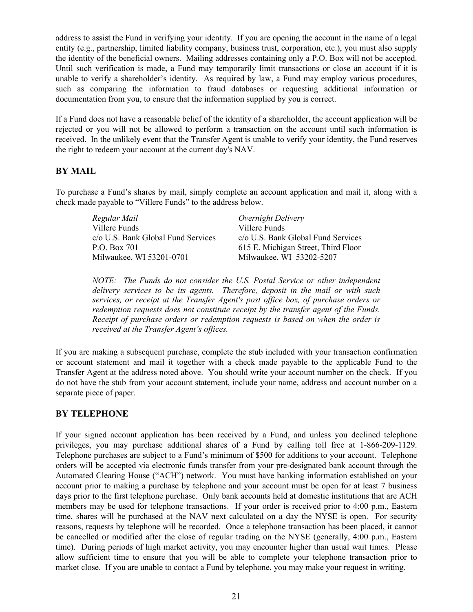address to assist the Fund in verifying your identity. If you are opening the account in the name of a legal entity (e.g., partnership, limited liability company, business trust, corporation, etc.), you must also supply the identity of the beneficial owners. Mailing addresses containing only a P.O. Box will not be accepted. Until such verification is made, a Fund may temporarily limit transactions or close an account if it is unable to verify a shareholder's identity. As required by law, a Fund may employ various procedures, such as comparing the information to fraud databases or requesting additional information or documentation from you, to ensure that the information supplied by you is correct.

If a Fund does not have a reasonable belief of the identity of a shareholder, the account application will be rejected or you will not be allowed to perform a transaction on the account until such information is received. In the unlikely event that the Transfer Agent is unable to verify your identity, the Fund reserves the right to redeem your account at the current day's NAV.

## **BY MAIL**

To purchase a Fund's shares by mail, simply complete an account application and mail it, along with a check made payable to "Villere Funds" to the address below.

*Regular Mail* Villere Funds c/o U.S. Bank Global Fund Services P.O. Box 701 Milwaukee, WI 53201-0701 *Overnight Delivery* Villere Funds c/o U.S. Bank Global Fund Services 615 E. Michigan Street, Third Floor Milwaukee, WI 53202-5207

*NOTE: The Funds do not consider the U.S. Postal Service or other independent delivery services to be its agents. Therefore, deposit in the mail or with such services, or receipt at the Transfer Agent's post office box, of purchase orders or redemption requests does not constitute receipt by the transfer agent of the Funds. Receipt of purchase orders or redemption requests is based on when the order is received at the Transfer Agent's offices.* 

If you are making a subsequent purchase, complete the stub included with your transaction confirmation or account statement and mail it together with a check made payable to the applicable Fund to the Transfer Agent at the address noted above. You should write your account number on the check. If you do not have the stub from your account statement, include your name, address and account number on a separate piece of paper.

## **BY TELEPHONE**

If your signed account application has been received by a Fund, and unless you declined telephone privileges, you may purchase additional shares of a Fund by calling toll free at 1-866-209-1129. Telephone purchases are subject to a Fund's minimum of \$500 for additions to your account. Telephone orders will be accepted via electronic funds transfer from your pre-designated bank account through the Automated Clearing House ("ACH") network. You must have banking information established on your account prior to making a purchase by telephone and your account must be open for at least 7 business days prior to the first telephone purchase. Only bank accounts held at domestic institutions that are ACH members may be used for telephone transactions. If your order is received prior to 4:00 p.m., Eastern time, shares will be purchased at the NAV next calculated on a day the NYSE is open. For security reasons, requests by telephone will be recorded. Once a telephone transaction has been placed, it cannot be cancelled or modified after the close of regular trading on the NYSE (generally, 4:00 p.m., Eastern time). During periods of high market activity, you may encounter higher than usual wait times. Please allow sufficient time to ensure that you will be able to complete your telephone transaction prior to market close. If you are unable to contact a Fund by telephone, you may make your request in writing.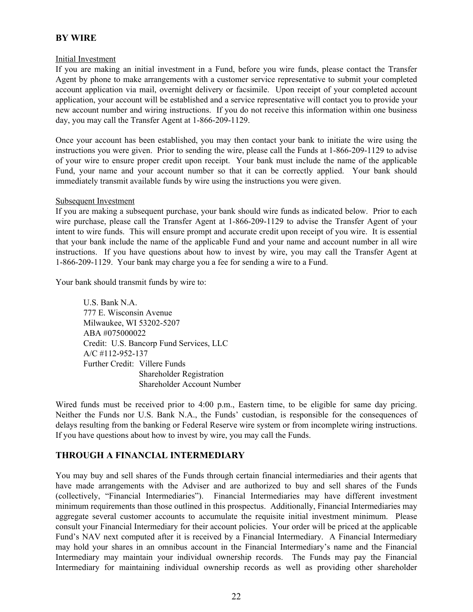## **BY WIRE**

## Initial Investment

If you are making an initial investment in a Fund, before you wire funds, please contact the Transfer Agent by phone to make arrangements with a customer service representative to submit your completed account application via mail, overnight delivery or facsimile. Upon receipt of your completed account application, your account will be established and a service representative will contact you to provide your new account number and wiring instructions. If you do not receive this information within one business day, you may call the Transfer Agent at 1-866-209-1129.

Once your account has been established, you may then contact your bank to initiate the wire using the instructions you were given. Prior to sending the wire, please call the Funds at 1-866-209-1129 to advise of your wire to ensure proper credit upon receipt. Your bank must include the name of the applicable Fund, your name and your account number so that it can be correctly applied. Your bank should immediately transmit available funds by wire using the instructions you were given.

## Subsequent Investment

If you are making a subsequent purchase, your bank should wire funds as indicated below. Prior to each wire purchase, please call the Transfer Agent at 1-866-209-1129 to advise the Transfer Agent of your intent to wire funds. This will ensure prompt and accurate credit upon receipt of you wire. It is essential that your bank include the name of the applicable Fund and your name and account number in all wire instructions. If you have questions about how to invest by wire, you may call the Transfer Agent at 1-866-209-1129. Your bank may charge you a fee for sending a wire to a Fund.

Your bank should transmit funds by wire to:

U.S. Bank N.A. 777 E. Wisconsin Avenue Milwaukee, WI 53202-5207 ABA #075000022 Credit: U.S. Bancorp Fund Services, LLC A/C #112-952-137 Further Credit: Villere Funds Shareholder Registration Shareholder Account Number

Wired funds must be received prior to 4:00 p.m., Eastern time, to be eligible for same day pricing. Neither the Funds nor U.S. Bank N.A., the Funds' custodian, is responsible for the consequences of delays resulting from the banking or Federal Reserve wire system or from incomplete wiring instructions. If you have questions about how to invest by wire, you may call the Funds.

## **THROUGH A FINANCIAL INTERMEDIARY**

You may buy and sell shares of the Funds through certain financial intermediaries and their agents that have made arrangements with the Adviser and are authorized to buy and sell shares of the Funds (collectively, "Financial Intermediaries"). Financial Intermediaries may have different investment minimum requirements than those outlined in this prospectus. Additionally, Financial Intermediaries may aggregate several customer accounts to accumulate the requisite initial investment minimum. Please consult your Financial Intermediary for their account policies. Your order will be priced at the applicable Fund's NAV next computed after it is received by a Financial Intermediary. A Financial Intermediary may hold your shares in an omnibus account in the Financial Intermediary's name and the Financial Intermediary may maintain your individual ownership records. The Funds may pay the Financial Intermediary for maintaining individual ownership records as well as providing other shareholder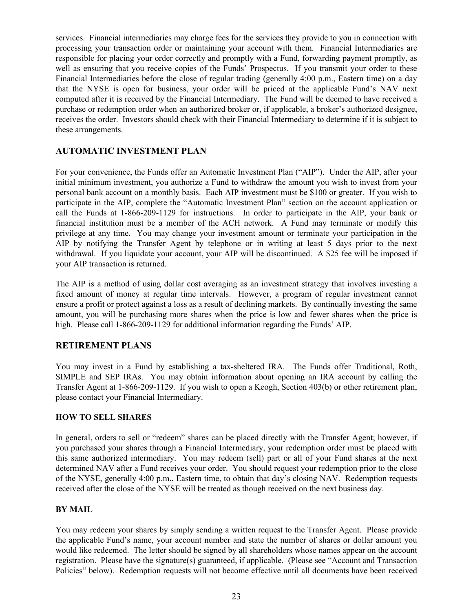services. Financial intermediaries may charge fees for the services they provide to you in connection with processing your transaction order or maintaining your account with them. Financial Intermediaries are responsible for placing your order correctly and promptly with a Fund, forwarding payment promptly, as well as ensuring that you receive copies of the Funds' Prospectus. If you transmit your order to these Financial Intermediaries before the close of regular trading (generally 4:00 p.m., Eastern time) on a day that the NYSE is open for business, your order will be priced at the applicable Fund's NAV next computed after it is received by the Financial Intermediary. The Fund will be deemed to have received a purchase or redemption order when an authorized broker or, if applicable, a broker's authorized designee, receives the order. Investors should check with their Financial Intermediary to determine if it is subject to these arrangements.

## **AUTOMATIC INVESTMENT PLAN**

For your convenience, the Funds offer an Automatic Investment Plan ("AIP"). Under the AIP, after your initial minimum investment, you authorize a Fund to withdraw the amount you wish to invest from your personal bank account on a monthly basis. Each AIP investment must be \$100 or greater. If you wish to participate in the AIP, complete the "Automatic Investment Plan" section on the account application or call the Funds at 1-866-209-1129 for instructions. In order to participate in the AIP, your bank or financial institution must be a member of the ACH network. A Fund may terminate or modify this privilege at any time. You may change your investment amount or terminate your participation in the AIP by notifying the Transfer Agent by telephone or in writing at least 5 days prior to the next withdrawal. If you liquidate your account, your AIP will be discontinued. A \$25 fee will be imposed if your AIP transaction is returned.

The AIP is a method of using dollar cost averaging as an investment strategy that involves investing a fixed amount of money at regular time intervals. However, a program of regular investment cannot ensure a profit or protect against a loss as a result of declining markets. By continually investing the same amount, you will be purchasing more shares when the price is low and fewer shares when the price is high. Please call 1-866-209-1129 for additional information regarding the Funds' AIP.

## **RETIREMENT PLANS**

You may invest in a Fund by establishing a tax-sheltered IRA. The Funds offer Traditional, Roth, SIMPLE and SEP IRAs. You may obtain information about opening an IRA account by calling the Transfer Agent at 1-866-209-1129. If you wish to open a Keogh, Section 403(b) or other retirement plan, please contact your Financial Intermediary.

## **HOW TO SELL SHARES**

In general, orders to sell or "redeem" shares can be placed directly with the Transfer Agent; however, if you purchased your shares through a Financial Intermediary, your redemption order must be placed with this same authorized intermediary. You may redeem (sell) part or all of your Fund shares at the next determined NAV after a Fund receives your order. You should request your redemption prior to the close of the NYSE, generally 4:00 p.m., Eastern time, to obtain that day's closing NAV. Redemption requests received after the close of the NYSE will be treated as though received on the next business day.

## **BY MAIL**

You may redeem your shares by simply sending a written request to the Transfer Agent. Please provide the applicable Fund's name, your account number and state the number of shares or dollar amount you would like redeemed. The letter should be signed by all shareholders whose names appear on the account registration. Please have the signature(s) guaranteed, if applicable. (Please see "Account and Transaction Policies" below). Redemption requests will not become effective until all documents have been received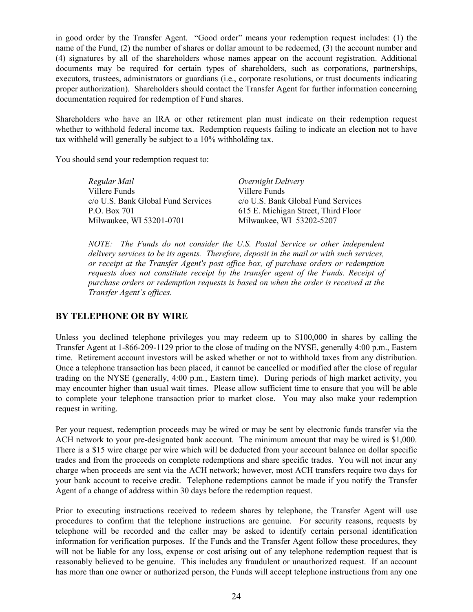in good order by the Transfer Agent. "Good order" means your redemption request includes: (1) the name of the Fund, (2) the number of shares or dollar amount to be redeemed, (3) the account number and (4) signatures by all of the shareholders whose names appear on the account registration. Additional documents may be required for certain types of shareholders, such as corporations, partnerships, executors, trustees, administrators or guardians (i.e., corporate resolutions, or trust documents indicating proper authorization). Shareholders should contact the Transfer Agent for further information concerning documentation required for redemption of Fund shares.

Shareholders who have an IRA or other retirement plan must indicate on their redemption request whether to withhold federal income tax. Redemption requests failing to indicate an election not to have tax withheld will generally be subject to a 10% withholding tax.

You should send your redemption request to:

| Regular Mail                       | Overnight Delivery                  |
|------------------------------------|-------------------------------------|
| Villere Funds                      | Villere Funds                       |
| c/o U.S. Bank Global Fund Services | c/o U.S. Bank Global Fund Services  |
| P.O. Box 701                       | 615 E. Michigan Street, Third Floor |
| Milwaukee, WI 53201-0701           | Milwaukee, WI 53202-5207            |

*NOTE: The Funds do not consider the U.S. Postal Service or other independent delivery services to be its agents. Therefore, deposit in the mail or with such services, or receipt at the Transfer Agent's post office box, of purchase orders or redemption requests does not constitute receipt by the transfer agent of the Funds. Receipt of purchase orders or redemption requests is based on when the order is received at the Transfer Agent's offices.* 

## **BY TELEPHONE OR BY WIRE**

Unless you declined telephone privileges you may redeem up to \$100,000 in shares by calling the Transfer Agent at 1-866-209-1129 prior to the close of trading on the NYSE, generally 4:00 p.m., Eastern time. Retirement account investors will be asked whether or not to withhold taxes from any distribution. Once a telephone transaction has been placed, it cannot be cancelled or modified after the close of regular trading on the NYSE (generally, 4:00 p.m., Eastern time). During periods of high market activity, you may encounter higher than usual wait times. Please allow sufficient time to ensure that you will be able to complete your telephone transaction prior to market close. You may also make your redemption request in writing.

Per your request, redemption proceeds may be wired or may be sent by electronic funds transfer via the ACH network to your pre-designated bank account. The minimum amount that may be wired is \$1,000. There is a \$15 wire charge per wire which will be deducted from your account balance on dollar specific trades and from the proceeds on complete redemptions and share specific trades. You will not incur any charge when proceeds are sent via the ACH network; however, most ACH transfers require two days for your bank account to receive credit. Telephone redemptions cannot be made if you notify the Transfer Agent of a change of address within 30 days before the redemption request.

Prior to executing instructions received to redeem shares by telephone, the Transfer Agent will use procedures to confirm that the telephone instructions are genuine. For security reasons, requests by telephone will be recorded and the caller may be asked to identify certain personal identification information for verification purposes. If the Funds and the Transfer Agent follow these procedures, they will not be liable for any loss, expense or cost arising out of any telephone redemption request that is reasonably believed to be genuine. This includes any fraudulent or unauthorized request. If an account has more than one owner or authorized person, the Funds will accept telephone instructions from any one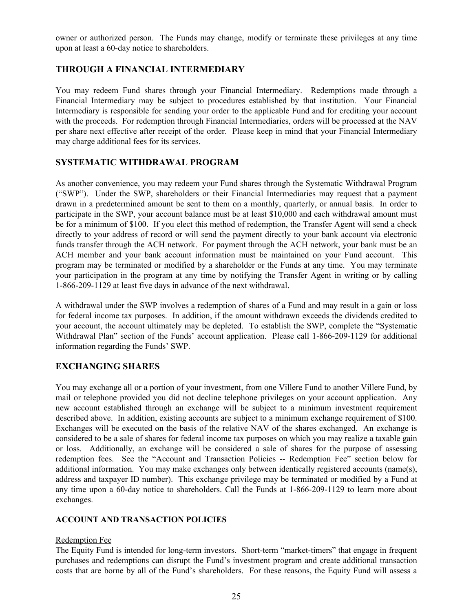owner or authorized person. The Funds may change, modify or terminate these privileges at any time upon at least a 60-day notice to shareholders.

## **THROUGH A FINANCIAL INTERMEDIARY**

You may redeem Fund shares through your Financial Intermediary. Redemptions made through a Financial Intermediary may be subject to procedures established by that institution. Your Financial Intermediary is responsible for sending your order to the applicable Fund and for crediting your account with the proceeds. For redemption through Financial Intermediaries, orders will be processed at the NAV per share next effective after receipt of the order. Please keep in mind that your Financial Intermediary may charge additional fees for its services.

## **SYSTEMATIC WITHDRAWAL PROGRAM**

As another convenience, you may redeem your Fund shares through the Systematic Withdrawal Program ("SWP"). Under the SWP, shareholders or their Financial Intermediaries may request that a payment drawn in a predetermined amount be sent to them on a monthly, quarterly, or annual basis. In order to participate in the SWP, your account balance must be at least \$10,000 and each withdrawal amount must be for a minimum of \$100. If you elect this method of redemption, the Transfer Agent will send a check directly to your address of record or will send the payment directly to your bank account via electronic funds transfer through the ACH network. For payment through the ACH network, your bank must be an ACH member and your bank account information must be maintained on your Fund account. This program may be terminated or modified by a shareholder or the Funds at any time. You may terminate your participation in the program at any time by notifying the Transfer Agent in writing or by calling 1‑866‑209‑1129 at least five days in advance of the next withdrawal.

A withdrawal under the SWP involves a redemption of shares of a Fund and may result in a gain or loss for federal income tax purposes. In addition, if the amount withdrawn exceeds the dividends credited to your account, the account ultimately may be depleted. To establish the SWP, complete the "Systematic Withdrawal Plan" section of the Funds' account application. Please call 1-866-209-1129 for additional information regarding the Funds' SWP.

## **EXCHANGING SHARES**

You may exchange all or a portion of your investment, from one Villere Fund to another Villere Fund, by mail or telephone provided you did not decline telephone privileges on your account application. Any new account established through an exchange will be subject to a minimum investment requirement described above. In addition, existing accounts are subject to a minimum exchange requirement of \$100. Exchanges will be executed on the basis of the relative NAV of the shares exchanged. An exchange is considered to be a sale of shares for federal income tax purposes on which you may realize a taxable gain or loss. Additionally, an exchange will be considered a sale of shares for the purpose of assessing redemption fees. See the "Account and Transaction Policies -- Redemption Fee" section below for additional information. You may make exchanges only between identically registered accounts (name(s), address and taxpayer ID number). This exchange privilege may be terminated or modified by a Fund at any time upon a 60-day notice to shareholders. Call the Funds at 1-866-209-1129 to learn more about exchanges.

## **ACCOUNT AND TRANSACTION POLICIES**

## Redemption Fee

The Equity Fund is intended for long-term investors. Short-term "market-timers" that engage in frequent purchases and redemptions can disrupt the Fund's investment program and create additional transaction costs that are borne by all of the Fund's shareholders. For these reasons, the Equity Fund will assess a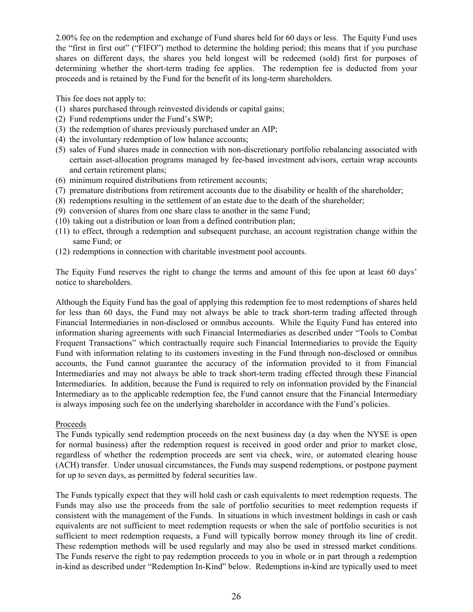2.00% fee on the redemption and exchange of Fund shares held for 60 days or less. The Equity Fund uses the "first in first out" ("FIFO") method to determine the holding period; this means that if you purchase shares on different days, the shares you held longest will be redeemed (sold) first for purposes of determining whether the short-term trading fee applies. The redemption fee is deducted from your proceeds and is retained by the Fund for the benefit of its long-term shareholders.

This fee does not apply to:

- (1) shares purchased through reinvested dividends or capital gains;
- (2) Fund redemptions under the Fund's SWP;
- (3) the redemption of shares previously purchased under an AIP;
- (4) the involuntary redemption of low balance accounts;
- (5) sales of Fund shares made in connection with non-discretionary portfolio rebalancing associated with certain asset-allocation programs managed by fee-based investment advisors, certain wrap accounts and certain retirement plans;
- (6) minimum required distributions from retirement accounts;
- (7) premature distributions from retirement accounts due to the disability or health of the shareholder;
- (8) redemptions resulting in the settlement of an estate due to the death of the shareholder;
- (9) conversion of shares from one share class to another in the same Fund;
- (10) taking out a distribution or loan from a defined contribution plan;
- (11) to effect, through a redemption and subsequent purchase, an account registration change within the same Fund; or
- (12) redemptions in connection with charitable investment pool accounts.

The Equity Fund reserves the right to change the terms and amount of this fee upon at least 60 days' notice to shareholders.

Although the Equity Fund has the goal of applying this redemption fee to most redemptions of shares held for less than 60 days, the Fund may not always be able to track short-term trading affected through Financial Intermediaries in non-disclosed or omnibus accounts. While the Equity Fund has entered into information sharing agreements with such Financial Intermediaries as described under "Tools to Combat Frequent Transactions" which contractually require such Financial Intermediaries to provide the Equity Fund with information relating to its customers investing in the Fund through non-disclosed or omnibus accounts, the Fund cannot guarantee the accuracy of the information provided to it from Financial Intermediaries and may not always be able to track short-term trading effected through these Financial Intermediaries. In addition, because the Fund is required to rely on information provided by the Financial Intermediary as to the applicable redemption fee, the Fund cannot ensure that the Financial Intermediary is always imposing such fee on the underlying shareholder in accordance with the Fund's policies.

## Proceeds

The Funds typically send redemption proceeds on the next business day (a day when the NYSE is open for normal business) after the redemption request is received in good order and prior to market close, regardless of whether the redemption proceeds are sent via check, wire, or automated clearing house (ACH) transfer. Under unusual circumstances, the Funds may suspend redemptions, or postpone payment for up to seven days, as permitted by federal securities law.

The Funds typically expect that they will hold cash or cash equivalents to meet redemption requests. The Funds may also use the proceeds from the sale of portfolio securities to meet redemption requests if consistent with the management of the Funds. In situations in which investment holdings in cash or cash equivalents are not sufficient to meet redemption requests or when the sale of portfolio securities is not sufficient to meet redemption requests, a Fund will typically borrow money through its line of credit. These redemption methods will be used regularly and may also be used in stressed market conditions. The Funds reserve the right to pay redemption proceeds to you in whole or in part through a redemption in-kind as described under "Redemption In-Kind" below. Redemptions in-kind are typically used to meet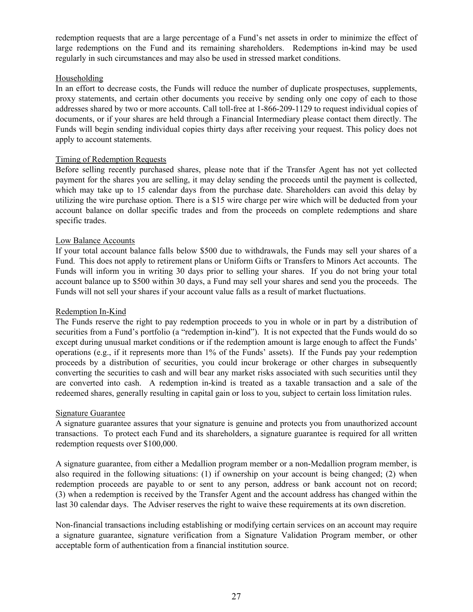redemption requests that are a large percentage of a Fund's net assets in order to minimize the effect of large redemptions on the Fund and its remaining shareholders. Redemptions in-kind may be used regularly in such circumstances and may also be used in stressed market conditions.

## Householding

In an effort to decrease costs, the Funds will reduce the number of duplicate prospectuses, supplements, proxy statements, and certain other documents you receive by sending only one copy of each to those addresses shared by two or more accounts. Call toll-free at 1-866-209-1129 to request individual copies of documents, or if your shares are held through a Financial Intermediary please contact them directly. The Funds will begin sending individual copies thirty days after receiving your request. This policy does not apply to account statements.

## Timing of Redemption Requests

Before selling recently purchased shares, please note that if the Transfer Agent has not yet collected payment for the shares you are selling, it may delay sending the proceeds until the payment is collected, which may take up to 15 calendar days from the purchase date. Shareholders can avoid this delay by utilizing the wire purchase option. There is a \$15 wire charge per wire which will be deducted from your account balance on dollar specific trades and from the proceeds on complete redemptions and share specific trades.

## Low Balance Accounts

If your total account balance falls below \$500 due to withdrawals, the Funds may sell your shares of a Fund. This does not apply to retirement plans or Uniform Gifts or Transfers to Minors Act accounts. The Funds will inform you in writing 30 days prior to selling your shares. If you do not bring your total account balance up to \$500 within 30 days, a Fund may sell your shares and send you the proceeds. The Funds will not sell your shares if your account value falls as a result of market fluctuations.

## Redemption In-Kind

The Funds reserve the right to pay redemption proceeds to you in whole or in part by a distribution of securities from a Fund's portfolio (a "redemption in-kind"). It is not expected that the Funds would do so except during unusual market conditions or if the redemption amount is large enough to affect the Funds' operations (e.g., if it represents more than 1% of the Funds' assets). If the Funds pay your redemption proceeds by a distribution of securities, you could incur brokerage or other charges in subsequently converting the securities to cash and will bear any market risks associated with such securities until they are converted into cash. A redemption in-kind is treated as a taxable transaction and a sale of the redeemed shares, generally resulting in capital gain or loss to you, subject to certain loss limitation rules.

## Signature Guarantee

A signature guarantee assures that your signature is genuine and protects you from unauthorized account transactions. To protect each Fund and its shareholders, a signature guarantee is required for all written redemption requests over \$100,000.

A signature guarantee, from either a Medallion program member or a non-Medallion program member, is also required in the following situations: (1) if ownership on your account is being changed; (2) when redemption proceeds are payable to or sent to any person, address or bank account not on record; (3) when a redemption is received by the Transfer Agent and the account address has changed within the last 30 calendar days. The Adviser reserves the right to waive these requirements at its own discretion.

Non-financial transactions including establishing or modifying certain services on an account may require a signature guarantee, signature verification from a Signature Validation Program member, or other acceptable form of authentication from a financial institution source.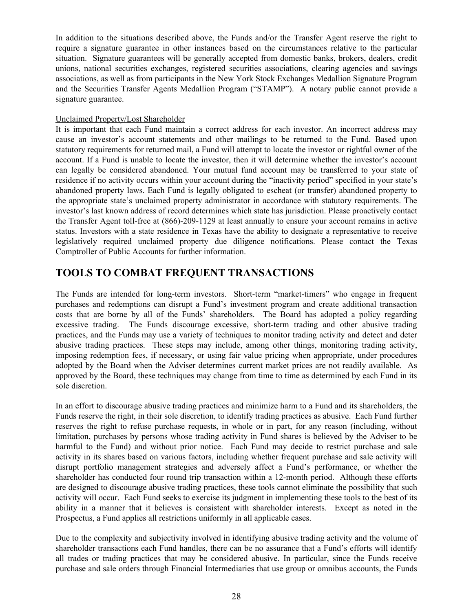<span id="page-27-0"></span>In addition to the situations described above, the Funds and/or the Transfer Agent reserve the right to require a signature guarantee in other instances based on the circumstances relative to the particular situation. Signature guarantees will be generally accepted from domestic banks, brokers, dealers, credit unions, national securities exchanges, registered securities associations, clearing agencies and savings associations, as well as from participants in the New York Stock Exchanges Medallion Signature Program and the Securities Transfer Agents Medallion Program ("STAMP"). A notary public cannot provide a signature guarantee.

## Unclaimed Property/Lost Shareholder

It is important that each Fund maintain a correct address for each investor. An incorrect address may cause an investor's account statements and other mailings to be returned to the Fund. Based upon statutory requirements for returned mail, a Fund will attempt to locate the investor or rightful owner of the account. If a Fund is unable to locate the investor, then it will determine whether the investor's account can legally be considered abandoned. Your mutual fund account may be transferred to your state of residence if no activity occurs within your account during the "inactivity period" specified in your state's abandoned property laws. Each Fund is legally obligated to escheat (or transfer) abandoned property to the appropriate state's unclaimed property administrator in accordance with statutory requirements. The investor's last known address of record determines which state has jurisdiction. Please proactively contact the Transfer Agent toll-free at (866)-209-1129 at least annually to ensure your account remains in active status. Investors with a state residence in Texas have the ability to designate a representative to receive legislatively required unclaimed property due diligence notifications. Please contact the Texas Comptroller of Public Accounts for further information.

## **TOOLS TO COMBAT FREQUENT TRANSACTIONS**

The Funds are intended for long-term investors. Short-term "market-timers" who engage in frequent purchases and redemptions can disrupt a Fund's investment program and create additional transaction costs that are borne by all of the Funds' shareholders. The Board has adopted a policy regarding excessive trading. The Funds discourage excessive, short-term trading and other abusive trading practices, and the Funds may use a variety of techniques to monitor trading activity and detect and deter abusive trading practices. These steps may include, among other things, monitoring trading activity, imposing redemption fees, if necessary, or using fair value pricing when appropriate, under procedures adopted by the Board when the Adviser determines current market prices are not readily available. As approved by the Board, these techniques may change from time to time as determined by each Fund in its sole discretion.

In an effort to discourage abusive trading practices and minimize harm to a Fund and its shareholders, the Funds reserve the right, in their sole discretion, to identify trading practices as abusive. Each Fund further reserves the right to refuse purchase requests, in whole or in part, for any reason (including, without limitation, purchases by persons whose trading activity in Fund shares is believed by the Adviser to be harmful to the Fund) and without prior notice. Each Fund may decide to restrict purchase and sale activity in its shares based on various factors, including whether frequent purchase and sale activity will disrupt portfolio management strategies and adversely affect a Fund's performance, or whether the shareholder has conducted four round trip transaction within a 12-month period. Although these efforts are designed to discourage abusive trading practices, these tools cannot eliminate the possibility that such activity will occur. Each Fund seeks to exercise its judgment in implementing these tools to the best of its ability in a manner that it believes is consistent with shareholder interests. Except as noted in the Prospectus, a Fund applies all restrictions uniformly in all applicable cases.

Due to the complexity and subjectivity involved in identifying abusive trading activity and the volume of shareholder transactions each Fund handles, there can be no assurance that a Fund's efforts will identify all trades or trading practices that may be considered abusive. In particular, since the Funds receive purchase and sale orders through Financial Intermediaries that use group or omnibus accounts, the Funds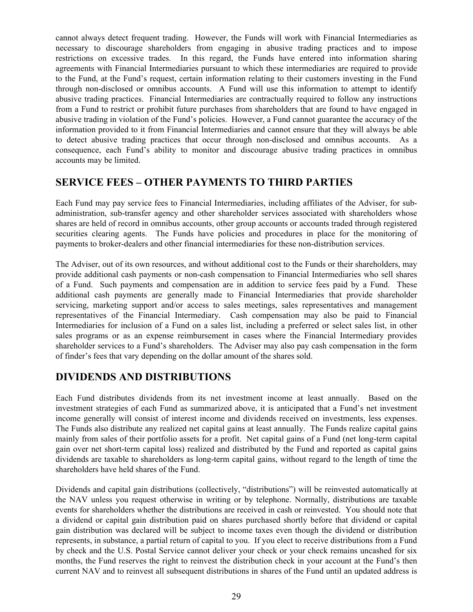<span id="page-28-0"></span>cannot always detect frequent trading. However, the Funds will work with Financial Intermediaries as necessary to discourage shareholders from engaging in abusive trading practices and to impose restrictions on excessive trades. In this regard, the Funds have entered into information sharing agreements with Financial Intermediaries pursuant to which these intermediaries are required to provide to the Fund, at the Fund's request, certain information relating to their customers investing in the Fund through non-disclosed or omnibus accounts. A Fund will use this information to attempt to identify abusive trading practices. Financial Intermediaries are contractually required to follow any instructions from a Fund to restrict or prohibit future purchases from shareholders that are found to have engaged in abusive trading in violation of the Fund's policies. However, a Fund cannot guarantee the accuracy of the information provided to it from Financial Intermediaries and cannot ensure that they will always be able to detect abusive trading practices that occur through non-disclosed and omnibus accounts. As a consequence, each Fund's ability to monitor and discourage abusive trading practices in omnibus accounts may be limited.

## **SERVICE FEES – OTHER PAYMENTS TO THIRD PARTIES**

Each Fund may pay service fees to Financial Intermediaries, including affiliates of the Adviser, for subadministration, sub-transfer agency and other shareholder services associated with shareholders whose shares are held of record in omnibus accounts, other group accounts or accounts traded through registered securities clearing agents. The Funds have policies and procedures in place for the monitoring of payments to broker-dealers and other financial intermediaries for these non-distribution services.

The Adviser, out of its own resources, and without additional cost to the Funds or their shareholders, may provide additional cash payments or non-cash compensation to Financial Intermediaries who sell shares of a Fund. Such payments and compensation are in addition to service fees paid by a Fund. These additional cash payments are generally made to Financial Intermediaries that provide shareholder servicing, marketing support and/or access to sales meetings, sales representatives and management representatives of the Financial Intermediary. Cash compensation may also be paid to Financial Intermediaries for inclusion of a Fund on a sales list, including a preferred or select sales list, in other sales programs or as an expense reimbursement in cases where the Financial Intermediary provides shareholder services to a Fund's shareholders. The Adviser may also pay cash compensation in the form of finder's fees that vary depending on the dollar amount of the shares sold.

## **DIVIDENDS AND DISTRIBUTIONS**

Each Fund distributes dividends from its net investment income at least annually. Based on the investment strategies of each Fund as summarized above, it is anticipated that a Fund's net investment income generally will consist of interest income and dividends received on investments, less expenses. The Funds also distribute any realized net capital gains at least annually. The Funds realize capital gains mainly from sales of their portfolio assets for a profit. Net capital gains of a Fund (net long-term capital gain over net short-term capital loss) realized and distributed by the Fund and reported as capital gains dividends are taxable to shareholders as long-term capital gains, without regard to the length of time the shareholders have held shares of the Fund.

Dividends and capital gain distributions (collectively, "distributions") will be reinvested automatically at the NAV unless you request otherwise in writing or by telephone. Normally, distributions are taxable events for shareholders whether the distributions are received in cash or reinvested. You should note that a dividend or capital gain distribution paid on shares purchased shortly before that dividend or capital gain distribution was declared will be subject to income taxes even though the dividend or distribution represents, in substance, a partial return of capital to you. If you elect to receive distributions from a Fund by check and the U.S. Postal Service cannot deliver your check or your check remains uncashed for six months, the Fund reserves the right to reinvest the distribution check in your account at the Fund's then current NAV and to reinvest all subsequent distributions in shares of the Fund until an updated address is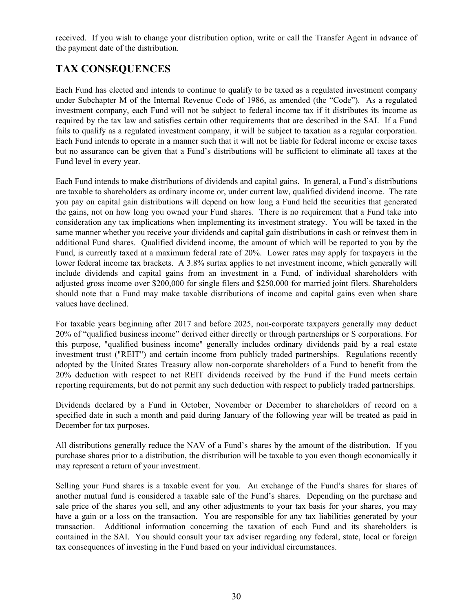<span id="page-29-0"></span>received. If you wish to change your distribution option, write or call the Transfer Agent in advance of the payment date of the distribution.

## **TAX CONSEQUENCES**

Each Fund has elected and intends to continue to qualify to be taxed as a regulated investment company under Subchapter M of the Internal Revenue Code of 1986, as amended (the "Code"). As a regulated investment company, each Fund will not be subject to federal income tax if it distributes its income as required by the tax law and satisfies certain other requirements that are described in the SAI. If a Fund fails to qualify as a regulated investment company, it will be subject to taxation as a regular corporation. Each Fund intends to operate in a manner such that it will not be liable for federal income or excise taxes but no assurance can be given that a Fund's distributions will be sufficient to eliminate all taxes at the Fund level in every year.

Each Fund intends to make distributions of dividends and capital gains. In general, a Fund's distributions are taxable to shareholders as ordinary income or, under current law, qualified dividend income. The rate you pay on capital gain distributions will depend on how long a Fund held the securities that generated the gains, not on how long you owned your Fund shares. There is no requirement that a Fund take into consideration any tax implications when implementing its investment strategy. You will be taxed in the same manner whether you receive your dividends and capital gain distributions in cash or reinvest them in additional Fund shares. Qualified dividend income, the amount of which will be reported to you by the Fund, is currently taxed at a maximum federal rate of 20%. Lower rates may apply for taxpayers in the lower federal income tax brackets. A 3.8% surtax applies to net investment income, which generally will include dividends and capital gains from an investment in a Fund, of individual shareholders with adjusted gross income over \$200,000 for single filers and \$250,000 for married joint filers. Shareholders should note that a Fund may make taxable distributions of income and capital gains even when share values have declined.

For taxable years beginning after 2017 and before 2025, non-corporate taxpayers generally may deduct 20% of "qualified business income" derived either directly or through partnerships or S corporations. For this purpose, "qualified business income" generally includes ordinary dividends paid by a real estate investment trust ("REIT") and certain income from publicly traded partnerships. Regulations recently adopted by the United States Treasury allow non-corporate shareholders of a Fund to benefit from the 20% deduction with respect to net REIT dividends received by the Fund if the Fund meets certain reporting requirements, but do not permit any such deduction with respect to publicly traded partnerships.

Dividends declared by a Fund in October, November or December to shareholders of record on a specified date in such a month and paid during January of the following year will be treated as paid in December for tax purposes.

All distributions generally reduce the NAV of a Fund's shares by the amount of the distribution. If you purchase shares prior to a distribution, the distribution will be taxable to you even though economically it may represent a return of your investment.

Selling your Fund shares is a taxable event for you. An exchange of the Fund's shares for shares of another mutual fund is considered a taxable sale of the Fund's shares. Depending on the purchase and sale price of the shares you sell, and any other adjustments to your tax basis for your shares, you may have a gain or a loss on the transaction. You are responsible for any tax liabilities generated by your transaction. Additional information concerning the taxation of each Fund and its shareholders is contained in the SAI. You should consult your tax adviser regarding any federal, state, local or foreign tax consequences of investing in the Fund based on your individual circumstances.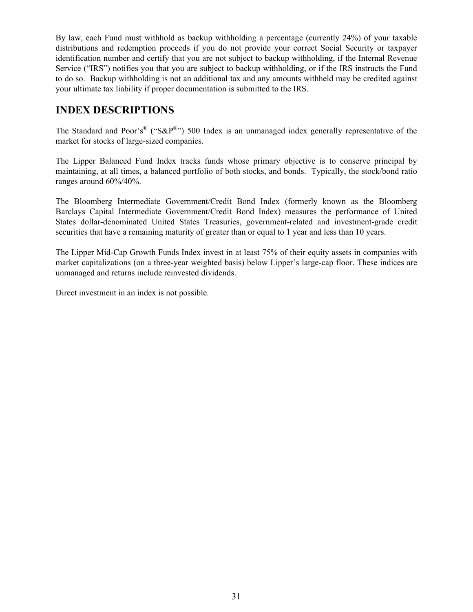<span id="page-30-0"></span>By law, each Fund must withhold as backup withholding a percentage (currently 24%) of your taxable distributions and redemption proceeds if you do not provide your correct Social Security or taxpayer identification number and certify that you are not subject to backup withholding, if the Internal Revenue Service ("IRS") notifies you that you are subject to backup withholding, or if the IRS instructs the Fund to do so. Backup withholding is not an additional tax and any amounts withheld may be credited against your ultimate tax liability if proper documentation is submitted to the IRS.

## **INDEX DESCRIPTIONS**

The Standard and Poor's<sup>®</sup> ("S&P<sup>®</sup>") 500 Index is an unmanaged index generally representative of the market for stocks of large-sized companies.

The Lipper Balanced Fund Index tracks funds whose primary objective is to conserve principal by maintaining, at all times, a balanced portfolio of both stocks, and bonds. Typically, the stock/bond ratio ranges around 60%/40%.

The Bloomberg Intermediate Government/Credit Bond Index (formerly known as the Bloomberg Barclays Capital Intermediate Government/Credit Bond Index) measures the performance of United States dollar-denominated United States Treasuries, government-related and investment-grade credit securities that have a remaining maturity of greater than or equal to 1 year and less than 10 years.

The Lipper Mid-Cap Growth Funds Index invest in at least 75% of their equity assets in companies with market capitalizations (on a three-year weighted basis) below Lipper's large-cap floor. These indices are unmanaged and returns include reinvested dividends.

Direct investment in an index is not possible.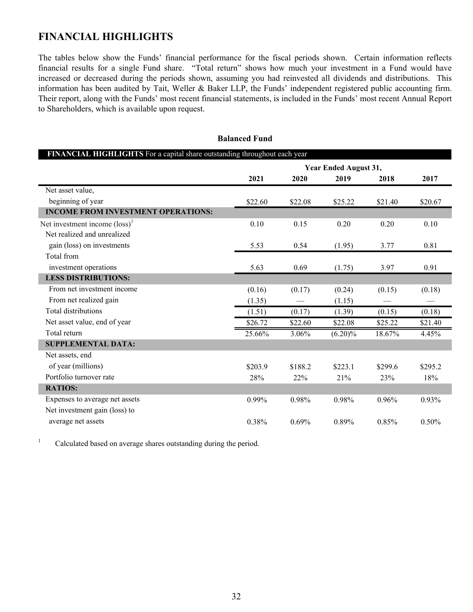## <span id="page-31-0"></span>**FINANCIAL HIGHLIGHTS**

The tables below show the Funds' financial performance for the fiscal periods shown. Certain information reflects financial results for a single Fund share. "Total return" shows how much your investment in a Fund would have increased or decreased during the periods shown, assuming you had reinvested all dividends and distributions. This information has been audited by Tait, Weller & Baker LLP, the Funds' independent registered public accounting firm. Their report, along with the Funds' most recent financial statements, is included in the Funds' most recent Annual Report to Shareholders, which is available upon request.

| FINANCIAL HIGHLIGHTS For a capital share outstanding throughout each year |                       |         |            |         |         |  |  |
|---------------------------------------------------------------------------|-----------------------|---------|------------|---------|---------|--|--|
|                                                                           | Year Ended August 31, |         |            |         |         |  |  |
|                                                                           | 2021                  | 2020    | 2019       | 2018    | 2017    |  |  |
| Net asset value,                                                          |                       |         |            |         |         |  |  |
| beginning of year                                                         | \$22.60               | \$22.08 | \$25.22    | \$21.40 | \$20.67 |  |  |
| <b>INCOME FROM INVESTMENT OPERATIONS:</b>                                 |                       |         |            |         |         |  |  |
| Net investment income $(\text{loss})^1$                                   | 0.10                  | 0.15    | 0.20       | 0.20    | 0.10    |  |  |
| Net realized and unrealized                                               |                       |         |            |         |         |  |  |
| gain (loss) on investments                                                | 5.53                  | 0.54    | (1.95)     | 3.77    | 0.81    |  |  |
| Total from                                                                |                       |         |            |         |         |  |  |
| investment operations                                                     | 5.63                  | 0.69    | (1.75)     | 3.97    | 0.91    |  |  |
| <b>LESS DISTRIBUTIONS:</b>                                                |                       |         |            |         |         |  |  |
| From net investment income                                                | (0.16)                | (0.17)  | (0.24)     | (0.15)  | (0.18)  |  |  |
| From net realized gain                                                    | (1.35)                |         | (1.15)     |         |         |  |  |
| <b>Total distributions</b>                                                | (1.51)                | (0.17)  | (1.39)     | (0.15)  | (0.18)  |  |  |
| Net asset value, end of year                                              | \$26.72               | \$22.60 | \$22.08    | \$25.22 | \$21.40 |  |  |
| Total return                                                              | 25.66%                | 3.06%   | $(6.20)\%$ | 18.67%  | 4.45%   |  |  |
| <b>SUPPLEMENTAL DATA:</b>                                                 |                       |         |            |         |         |  |  |
| Net assets, end                                                           |                       |         |            |         |         |  |  |
| of year (millions)                                                        | \$203.9               | \$188.2 | \$223.1    | \$299.6 | \$295.2 |  |  |
| Portfolio turnover rate                                                   | 28%                   | 22%     | 21%        | 23%     | 18%     |  |  |
| <b>RATIOS:</b>                                                            |                       |         |            |         |         |  |  |
| Expenses to average net assets                                            | 0.99%                 | 0.98%   | 0.98%      | 0.96%   | 0.93%   |  |  |
| Net investment gain (loss) to                                             |                       |         |            |         |         |  |  |
| average net assets                                                        | 0.38%                 | 0.69%   | 0.89%      | 0.85%   | 0.50%   |  |  |

**Balanced Fund**

<sup>1</sup> Calculated based on average shares outstanding during the period.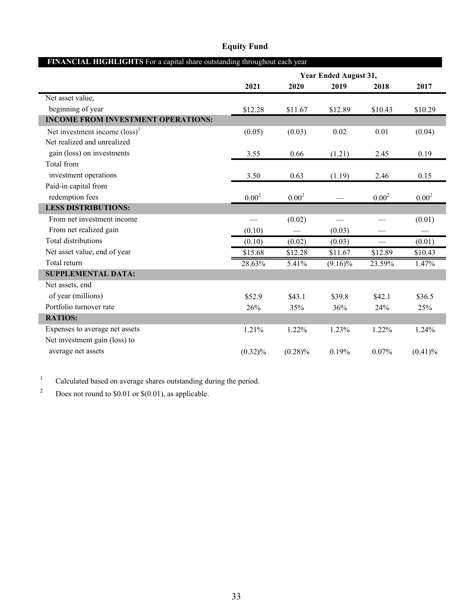| FINANCIAL HIGHLIGHTS For a capital share outstanding throughout each year |                       |            |            |            |            |  |  |
|---------------------------------------------------------------------------|-----------------------|------------|------------|------------|------------|--|--|
|                                                                           | Year Ended August 31, |            |            |            |            |  |  |
|                                                                           | 2021                  | 2020       | 2019       | 2018       | 2017       |  |  |
| Net asset value,                                                          |                       |            |            |            |            |  |  |
| beginning of year                                                         | \$12.28               | \$11.67    | \$12.89    | \$10.43    | \$10.29    |  |  |
| <b>INCOME FROM INVESTMENT OPERATIONS:</b>                                 |                       |            |            |            |            |  |  |
| Net investment income $(\text{loss})^1$                                   | (0.05)                | (0.03)     | 0.02       | 0.01       | (0.04)     |  |  |
| Net realized and unrealized                                               |                       |            |            |            |            |  |  |
| gain (loss) on investments                                                | 3.55                  | 0.66       | (1.21)     | 2.45       | 0.19       |  |  |
| Total from                                                                |                       |            |            |            |            |  |  |
| investment operations                                                     | 3.50                  | 0.63       | (1.19)     | 2.46       | 0.15       |  |  |
| Paid-in capital from                                                      |                       |            |            |            |            |  |  |
| redemption fees                                                           | $0.00^{2}$            | $0.00^{2}$ |            | $0.00^{2}$ | $0.00^{2}$ |  |  |
| <b>LESS DISTRIBUTIONS:</b>                                                |                       |            |            |            |            |  |  |
| From net investment income                                                |                       | (0.02)     |            |            | (0.01)     |  |  |
| From net realized gain                                                    | (0.10)                |            | (0.03)     |            |            |  |  |
| <b>Total distributions</b>                                                | (0.10)                | (0.02)     | (0.03)     |            | (0.01)     |  |  |
| Net asset value, end of year                                              | \$15.68               | \$12.28    | \$11.67    | \$12.89    | \$10.43    |  |  |
| Total return                                                              | 28.63%                | 5.41%      | $(9.16)\%$ | 23.59%     | 1.47%      |  |  |
| <b>SUPPLEMENTAL DATA:</b>                                                 |                       |            |            |            |            |  |  |
| Net assets, end                                                           |                       |            |            |            |            |  |  |
| of year (millions)                                                        | \$52.9                | \$43.1     | \$39.8     | \$42.1     | \$36.5     |  |  |
| Portfolio turnover rate                                                   | 26%                   | 35%        | 36%        | 24%        | 25%        |  |  |
| <b>RATIOS:</b>                                                            |                       |            |            |            |            |  |  |
| Expenses to average net assets                                            | 1.21%                 | 1.22%      | 1.23%      | 1.22%      | 1.24%      |  |  |
| Net investment gain (loss) to                                             |                       |            |            |            |            |  |  |
| average net assets                                                        | $(0.32)\%$            | $(0.28)\%$ | 0.19%      | 0.07%      | $(0.41)\%$ |  |  |

## **Equity Fund**

<sup>1</sup> Calculated based on average shares outstanding during the period.

 $2^{\circ}$  Does not round to \$0.01 or \$(0.01), as applicable.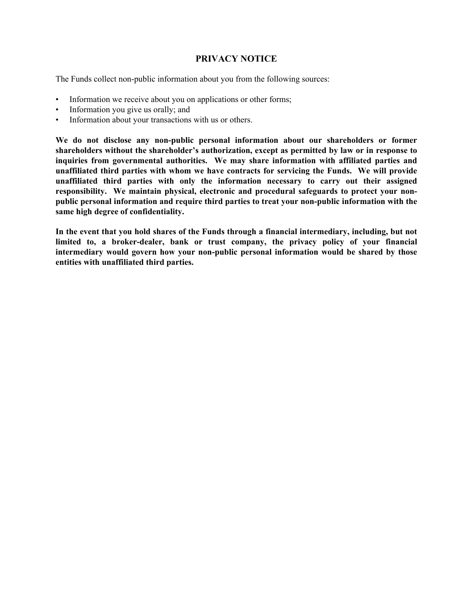## **PRIVACY NOTICE**

<span id="page-33-0"></span>The Funds collect non-public information about you from the following sources:

- Information we receive about you on applications or other forms;
- Information you give us orally; and
- Information about your transactions with us or others.

**We do not disclose any non-public personal information about our shareholders or former shareholders without the shareholder's authorization, except as permitted by law or in response to inquiries from governmental authorities. We may share information with affiliated parties and unaffiliated third parties with whom we have contracts for servicing the Funds. We will provide unaffiliated third parties with only the information necessary to carry out their assigned responsibility. We maintain physical, electronic and procedural safeguards to protect your nonpublic personal information and require third parties to treat your non-public information with the same high degree of confidentiality.**

**In the event that you hold shares of the Funds through a financial intermediary, including, but not limited to, a broker-dealer, bank or trust company, the privacy policy of your financial intermediary would govern how your non-public personal information would be shared by those entities with unaffiliated third parties.**